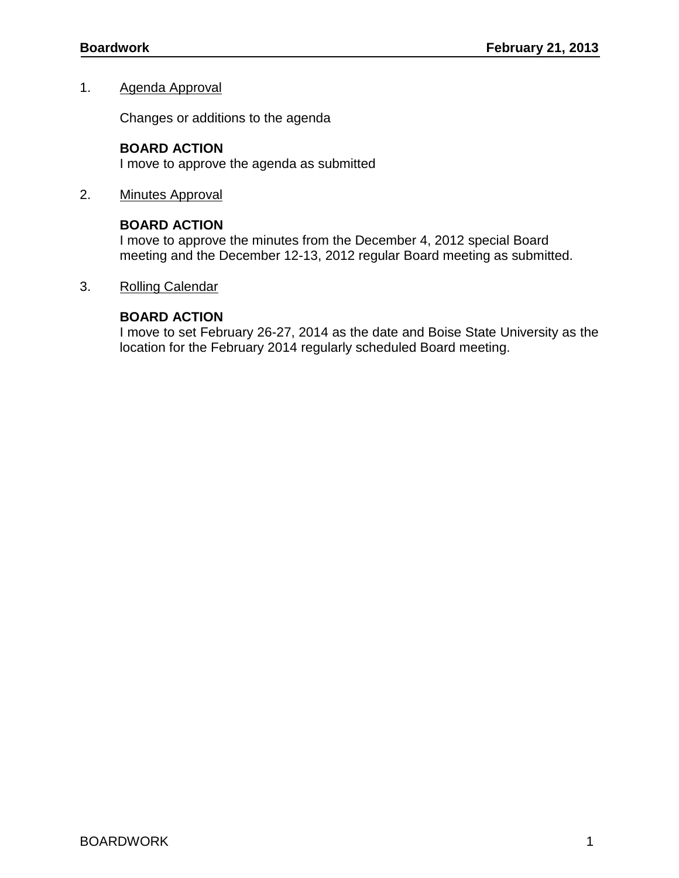#### 1. Agenda Approval

Changes or additions to the agenda

### **BOARD ACTION**

I move to approve the agenda as submitted

2. Minutes Approval

### **BOARD ACTION**

I move to approve the minutes from the December 4, 2012 special Board meeting and the December 12-13, 2012 regular Board meeting as submitted.

### 3. Rolling Calendar

### **BOARD ACTION**

I move to set February 26-27, 2014 as the date and Boise State University as the location for the February 2014 regularly scheduled Board meeting.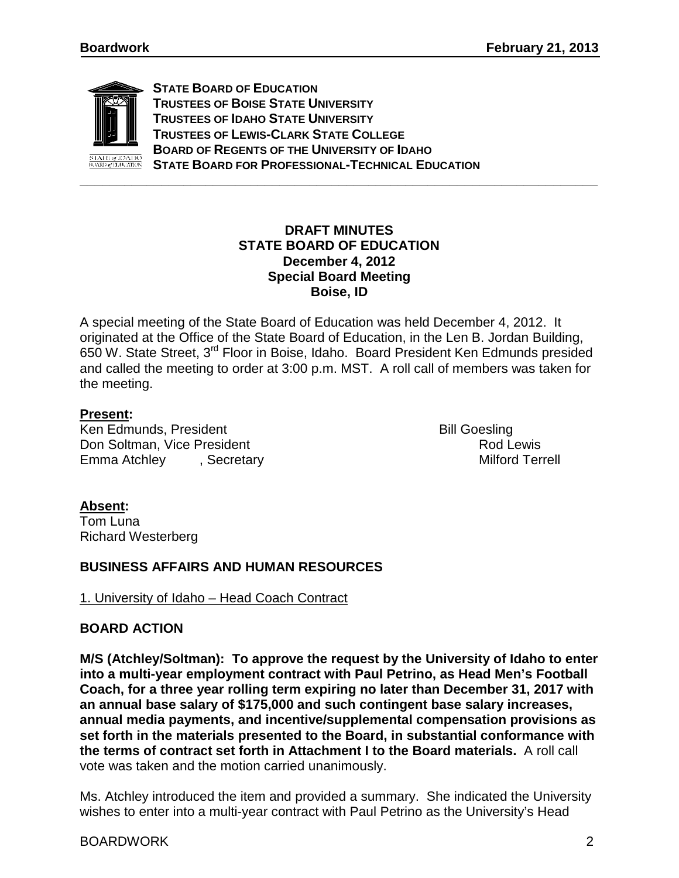

**STATE BOARD OF EDUCATION TRUSTEES OF BOISE STATE UNIVERSITY TRUSTEES OF IDAHO STATE UNIVERSITY TRUSTEES OF LEWIS-CLARK STATE COLLEGE BOARD OF REGENTS OF THE UNIVERSITY OF IDAHO STATE BOARD FOR PROFESSIONAL-TECHNICAL EDUCATION**

### **DRAFT MINUTES STATE BOARD OF EDUCATION December 4, 2012 Special Board Meeting Boise, ID**

**\_\_\_\_\_\_\_\_\_\_\_\_\_\_\_\_\_\_\_\_\_\_\_\_\_\_\_\_\_\_\_\_\_\_\_\_\_\_\_\_\_\_\_\_\_\_\_\_\_\_\_\_\_\_\_\_\_\_\_\_\_\_\_\_\_\_\_\_\_\_**

A special meeting of the State Board of Education was held December 4, 2012. It originated at the Office of the State Board of Education, in the Len B. Jordan Building, 650 W. State Street, 3rd Floor in Boise, Idaho. Board President Ken Edmunds presided and called the meeting to order at 3:00 p.m. MST. A roll call of members was taken for the meeting.

### **Present:**

Ken Edmunds, President Andreas Bill Goesling Don Soltman, Vice President and American control of the Rod Lewis Rod Lewis<br>
Rod Lewis Recretary Recretary Recretary Anti-Emma Atchley , Secretary

### **Absent:**

Tom Luna Richard Westerberg

### **BUSINESS AFFAIRS AND HUMAN RESOURCES**

1. University of Idaho – Head Coach Contract

### **BOARD ACTION**

**M/S (Atchley/Soltman): To approve the request by the University of Idaho to enter into a multi-year employment contract with Paul Petrino, as Head Men's Football Coach, for a three year rolling term expiring no later than December 31, 2017 with an annual base salary of \$175,000 and such contingent base salary increases, annual media payments, and incentive/supplemental compensation provisions as set forth in the materials presented to the Board, in substantial conformance with the terms of contract set forth in Attachment I to the Board materials.** A roll call vote was taken and the motion carried unanimously.

Ms. Atchley introduced the item and provided a summary. She indicated the University wishes to enter into a multi-year contract with Paul Petrino as the University's Head

#### BOARDWORK 2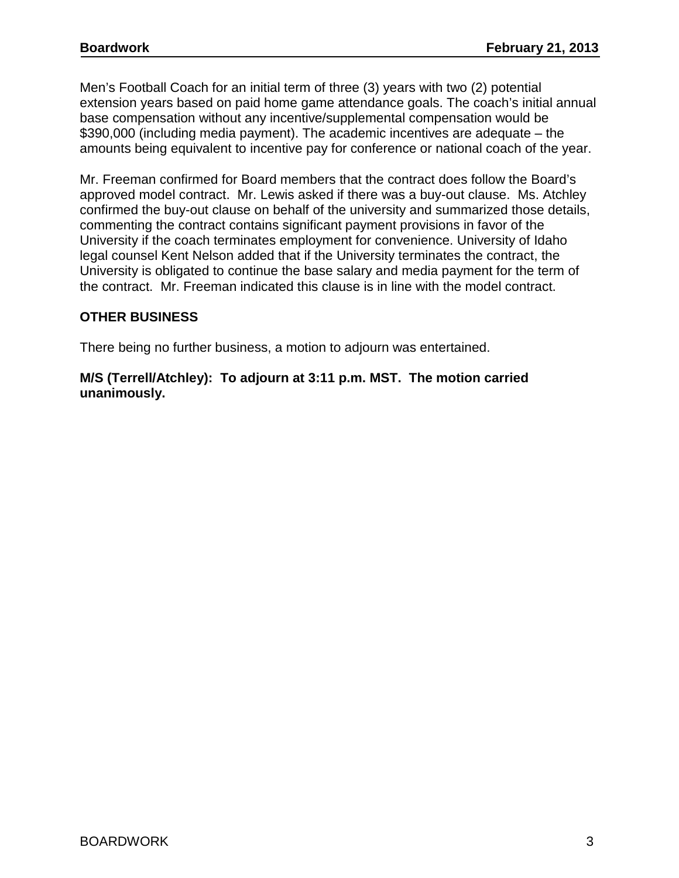Men's Football Coach for an initial term of three (3) years with two (2) potential extension years based on paid home game attendance goals. The coach's initial annual base compensation without any incentive/supplemental compensation would be \$390,000 (including media payment). The academic incentives are adequate – the amounts being equivalent to incentive pay for conference or national coach of the year.

Mr. Freeman confirmed for Board members that the contract does follow the Board's approved model contract. Mr. Lewis asked if there was a buy-out clause. Ms. Atchley confirmed the buy-out clause on behalf of the university and summarized those details, commenting the contract contains significant payment provisions in favor of the University if the coach terminates employment for convenience. University of Idaho legal counsel Kent Nelson added that if the University terminates the contract, the University is obligated to continue the base salary and media payment for the term of the contract. Mr. Freeman indicated this clause is in line with the model contract.

## **OTHER BUSINESS**

There being no further business, a motion to adjourn was entertained.

### **M/S (Terrell/Atchley): To adjourn at 3:11 p.m. MST. The motion carried unanimously.**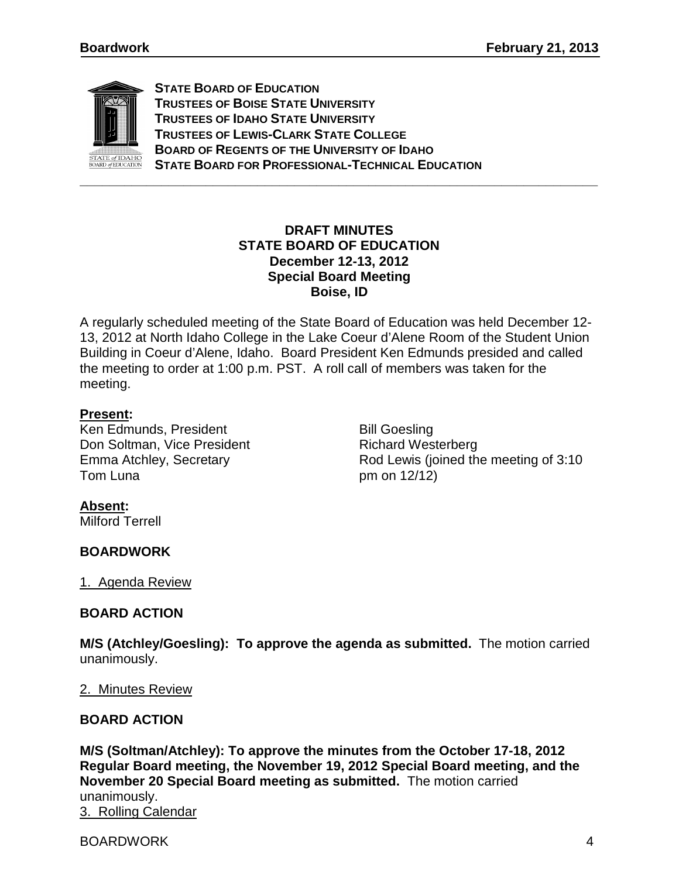

**STATE BOARD OF EDUCATION TRUSTEES OF BOISE STATE UNIVERSITY TRUSTEES OF IDAHO STATE UNIVERSITY TRUSTEES OF LEWIS-CLARK STATE COLLEGE BOARD OF REGENTS OF THE UNIVERSITY OF IDAHO STATE BOARD FOR PROFESSIONAL-TECHNICAL EDUCATION**

## **DRAFT MINUTES STATE BOARD OF EDUCATION December 12-13, 2012 Special Board Meeting Boise, ID**

A regularly scheduled meeting of the State Board of Education was held December 12- 13, 2012 at North Idaho College in the Lake Coeur d'Alene Room of the Student Union Building in Coeur d'Alene, Idaho. Board President Ken Edmunds presided and called the meeting to order at 1:00 p.m. PST. A roll call of members was taken for the meeting.

### **Present:**

Ken Edmunds, President Bill Goesling Don Soltman, Vice President Richard Westerberg Tom Luna pm on 12/12)

Emma Atchley, Secretary **Emma Atchley**, Secretary **Rod Lewis** (joined the meeting of 3:10

### **Absent:**

Milford Terrell

### **BOARDWORK**

1. Agenda Review

# **BOARD ACTION**

**M/S (Atchley/Goesling): To approve the agenda as submitted.** The motion carried unanimously.

### 2. Minutes Review

### **BOARD ACTION**

**M/S (Soltman/Atchley): To approve the minutes from the October 17-18, 2012 Regular Board meeting, the November 19, 2012 Special Board meeting, and the November 20 Special Board meeting as submitted.** The motion carried unanimously. 3. Rolling Calendar

BOARDWORK 4 and 20 and 20 and 20 and 20 and 20 and 20 and 20 and 20 and 20 and 20 and 20 and 20 and 20 and 20 and 20 and 20 and 20 and 20 and 20 and 20 and 20 and 20 and 20 and 20 and 20 and 20 and 20 and 20 and 20 and 20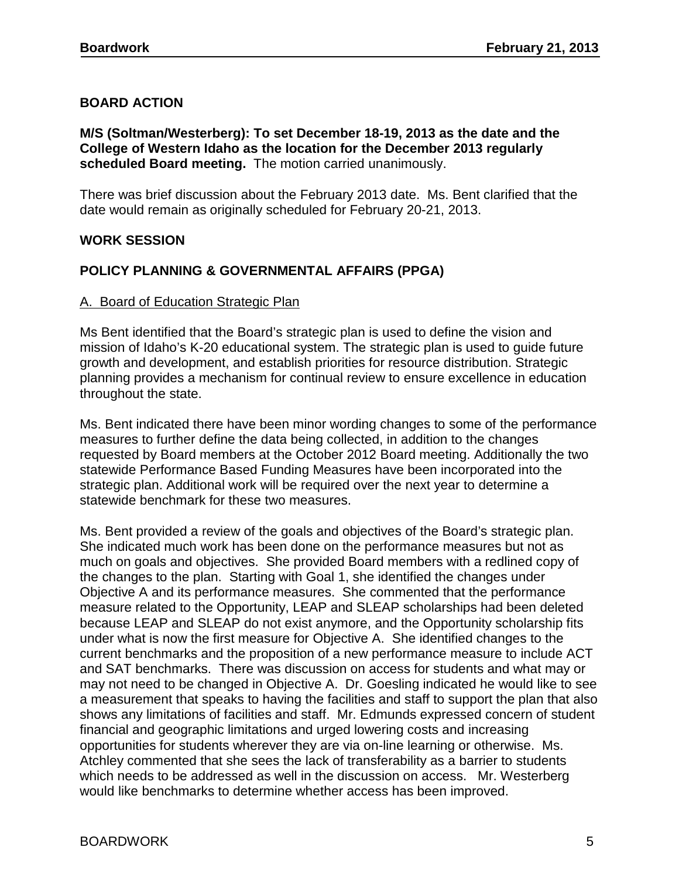## **BOARD ACTION**

**M/S (Soltman/Westerberg): To set December 18-19, 2013 as the date and the College of Western Idaho as the location for the December 2013 regularly scheduled Board meeting.** The motion carried unanimously.

There was brief discussion about the February 2013 date. Ms. Bent clarified that the date would remain as originally scheduled for February 20-21, 2013.

### **WORK SESSION**

### **POLICY PLANNING & GOVERNMENTAL AFFAIRS (PPGA)**

### A. Board of Education Strategic Plan

Ms Bent identified that the Board's strategic plan is used to define the vision and mission of Idaho's K-20 educational system. The strategic plan is used to guide future growth and development, and establish priorities for resource distribution. Strategic planning provides a mechanism for continual review to ensure excellence in education throughout the state.

Ms. Bent indicated there have been minor wording changes to some of the performance measures to further define the data being collected, in addition to the changes requested by Board members at the October 2012 Board meeting. Additionally the two statewide Performance Based Funding Measures have been incorporated into the strategic plan. Additional work will be required over the next year to determine a statewide benchmark for these two measures.

Ms. Bent provided a review of the goals and objectives of the Board's strategic plan. She indicated much work has been done on the performance measures but not as much on goals and objectives. She provided Board members with a redlined copy of the changes to the plan. Starting with Goal 1, she identified the changes under Objective A and its performance measures. She commented that the performance measure related to the Opportunity, LEAP and SLEAP scholarships had been deleted because LEAP and SLEAP do not exist anymore, and the Opportunity scholarship fits under what is now the first measure for Objective A. She identified changes to the current benchmarks and the proposition of a new performance measure to include ACT and SAT benchmarks. There was discussion on access for students and what may or may not need to be changed in Objective A. Dr. Goesling indicated he would like to see a measurement that speaks to having the facilities and staff to support the plan that also shows any limitations of facilities and staff. Mr. Edmunds expressed concern of student financial and geographic limitations and urged lowering costs and increasing opportunities for students wherever they are via on-line learning or otherwise. Ms. Atchley commented that she sees the lack of transferability as a barrier to students which needs to be addressed as well in the discussion on access. Mr. Westerberg would like benchmarks to determine whether access has been improved.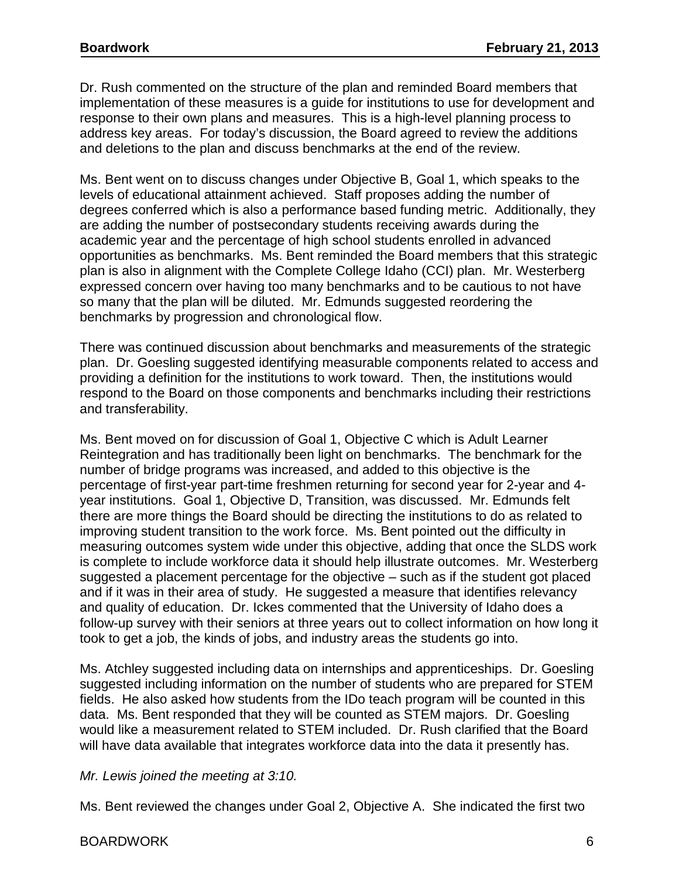Dr. Rush commented on the structure of the plan and reminded Board members that implementation of these measures is a guide for institutions to use for development and response to their own plans and measures. This is a high-level planning process to address key areas. For today's discussion, the Board agreed to review the additions and deletions to the plan and discuss benchmarks at the end of the review.

Ms. Bent went on to discuss changes under Objective B, Goal 1, which speaks to the levels of educational attainment achieved. Staff proposes adding the number of degrees conferred which is also a performance based funding metric. Additionally, they are adding the number of postsecondary students receiving awards during the academic year and the percentage of high school students enrolled in advanced opportunities as benchmarks. Ms. Bent reminded the Board members that this strategic plan is also in alignment with the Complete College Idaho (CCI) plan. Mr. Westerberg expressed concern over having too many benchmarks and to be cautious to not have so many that the plan will be diluted. Mr. Edmunds suggested reordering the benchmarks by progression and chronological flow.

There was continued discussion about benchmarks and measurements of the strategic plan. Dr. Goesling suggested identifying measurable components related to access and providing a definition for the institutions to work toward. Then, the institutions would respond to the Board on those components and benchmarks including their restrictions and transferability.

Ms. Bent moved on for discussion of Goal 1, Objective C which is Adult Learner Reintegration and has traditionally been light on benchmarks. The benchmark for the number of bridge programs was increased, and added to this objective is the percentage of first-year part-time freshmen returning for second year for 2-year and 4 year institutions. Goal 1, Objective D, Transition, was discussed. Mr. Edmunds felt there are more things the Board should be directing the institutions to do as related to improving student transition to the work force. Ms. Bent pointed out the difficulty in measuring outcomes system wide under this objective, adding that once the SLDS work is complete to include workforce data it should help illustrate outcomes. Mr. Westerberg suggested a placement percentage for the objective – such as if the student got placed and if it was in their area of study. He suggested a measure that identifies relevancy and quality of education. Dr. Ickes commented that the University of Idaho does a follow-up survey with their seniors at three years out to collect information on how long it took to get a job, the kinds of jobs, and industry areas the students go into.

Ms. Atchley suggested including data on internships and apprenticeships. Dr. Goesling suggested including information on the number of students who are prepared for STEM fields. He also asked how students from the IDo teach program will be counted in this data. Ms. Bent responded that they will be counted as STEM majors. Dr. Goesling would like a measurement related to STEM included. Dr. Rush clarified that the Board will have data available that integrates workforce data into the data it presently has.

#### *Mr. Lewis joined the meeting at 3:10.*

Ms. Bent reviewed the changes under Goal 2, Objective A. She indicated the first two

#### BOARDWORK 6 and the state of the state of the state of the state of the state of the state of the state of the state of the state of the state of the state of the state of the state of the state of the state of the state o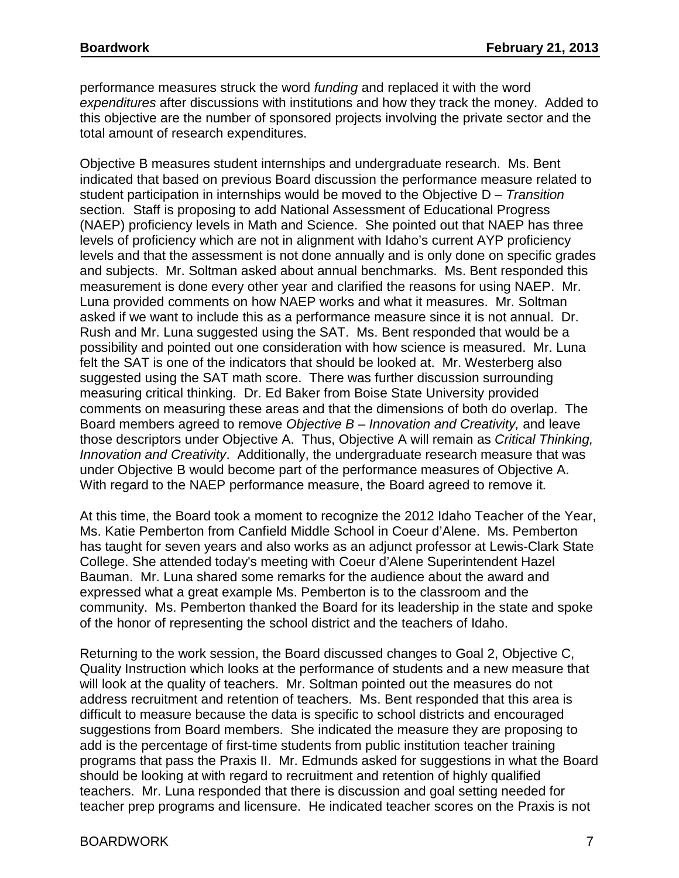performance measures struck the word *funding* and replaced it with the word *expenditures* after discussions with institutions and how they track the money. Added to this objective are the number of sponsored projects involving the private sector and the total amount of research expenditures.

Objective B measures student internships and undergraduate research. Ms. Bent indicated that based on previous Board discussion the performance measure related to student participation in internships would be moved to the Objective D – *Transition*  section*.* Staff is proposing to add National Assessment of Educational Progress (NAEP) proficiency levels in Math and Science. She pointed out that NAEP has three levels of proficiency which are not in alignment with Idaho's current AYP proficiency levels and that the assessment is not done annually and is only done on specific grades and subjects. Mr. Soltman asked about annual benchmarks. Ms. Bent responded this measurement is done every other year and clarified the reasons for using NAEP. Mr. Luna provided comments on how NAEP works and what it measures. Mr. Soltman asked if we want to include this as a performance measure since it is not annual. Dr. Rush and Mr. Luna suggested using the SAT. Ms. Bent responded that would be a possibility and pointed out one consideration with how science is measured. Mr. Luna felt the SAT is one of the indicators that should be looked at. Mr. Westerberg also suggested using the SAT math score. There was further discussion surrounding measuring critical thinking. Dr. Ed Baker from Boise State University provided comments on measuring these areas and that the dimensions of both do overlap. The Board members agreed to remove *Objective B – Innovation and Creativity,* and leave those descriptors under Objective A. Thus, Objective A will remain as *Critical Thinking, Innovation and Creativity*. Additionally, the undergraduate research measure that was under Objective B would become part of the performance measures of Objective A. With regard to the NAEP performance measure, the Board agreed to remove it*.* 

At this time, the Board took a moment to recognize the 2012 Idaho Teacher of the Year, Ms. Katie Pemberton from Canfield Middle School in Coeur d'Alene. Ms. Pemberton has taught for seven years and also works as an adjunct professor at Lewis-Clark State College. She attended today's meeting with Coeur d'Alene Superintendent Hazel Bauman. Mr. Luna shared some remarks for the audience about the award and expressed what a great example Ms. Pemberton is to the classroom and the community. Ms. Pemberton thanked the Board for its leadership in the state and spoke of the honor of representing the school district and the teachers of Idaho.

Returning to the work session, the Board discussed changes to Goal 2, Objective C, Quality Instruction which looks at the performance of students and a new measure that will look at the quality of teachers. Mr. Soltman pointed out the measures do not address recruitment and retention of teachers. Ms. Bent responded that this area is difficult to measure because the data is specific to school districts and encouraged suggestions from Board members. She indicated the measure they are proposing to add is the percentage of first-time students from public institution teacher training programs that pass the Praxis II. Mr. Edmunds asked for suggestions in what the Board should be looking at with regard to recruitment and retention of highly qualified teachers. Mr. Luna responded that there is discussion and goal setting needed for teacher prep programs and licensure. He indicated teacher scores on the Praxis is not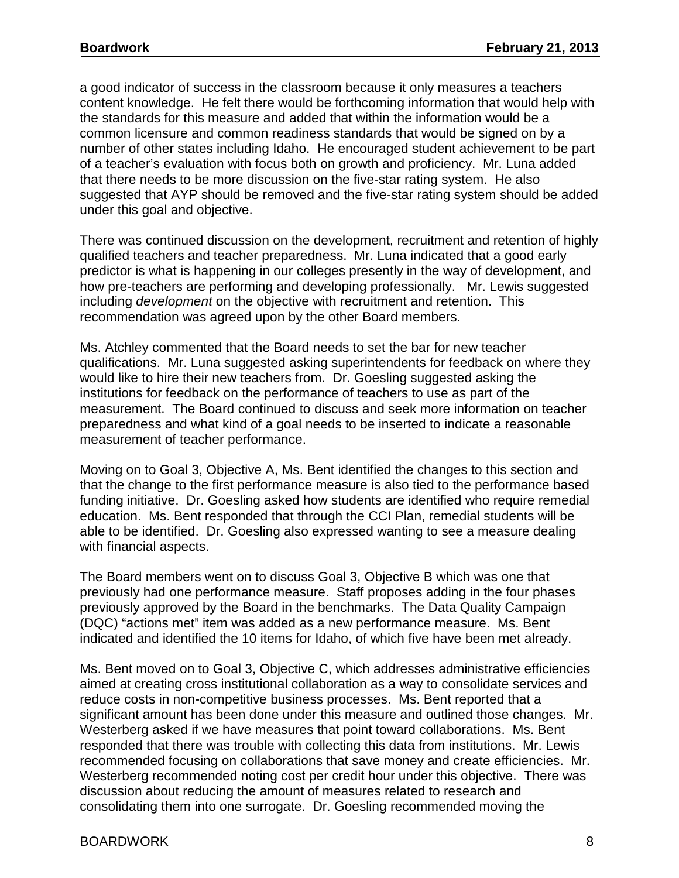a good indicator of success in the classroom because it only measures a teachers content knowledge. He felt there would be forthcoming information that would help with the standards for this measure and added that within the information would be a common licensure and common readiness standards that would be signed on by a number of other states including Idaho. He encouraged student achievement to be part of a teacher's evaluation with focus both on growth and proficiency. Mr. Luna added that there needs to be more discussion on the five-star rating system. He also suggested that AYP should be removed and the five-star rating system should be added under this goal and objective.

There was continued discussion on the development, recruitment and retention of highly qualified teachers and teacher preparedness. Mr. Luna indicated that a good early predictor is what is happening in our colleges presently in the way of development, and how pre-teachers are performing and developing professionally. Mr. Lewis suggested including *development* on the objective with recruitment and retention. This recommendation was agreed upon by the other Board members.

Ms. Atchley commented that the Board needs to set the bar for new teacher qualifications. Mr. Luna suggested asking superintendents for feedback on where they would like to hire their new teachers from. Dr. Goesling suggested asking the institutions for feedback on the performance of teachers to use as part of the measurement. The Board continued to discuss and seek more information on teacher preparedness and what kind of a goal needs to be inserted to indicate a reasonable measurement of teacher performance.

Moving on to Goal 3, Objective A, Ms. Bent identified the changes to this section and that the change to the first performance measure is also tied to the performance based funding initiative. Dr. Goesling asked how students are identified who require remedial education. Ms. Bent responded that through the CCI Plan, remedial students will be able to be identified. Dr. Goesling also expressed wanting to see a measure dealing with financial aspects.

The Board members went on to discuss Goal 3, Objective B which was one that previously had one performance measure. Staff proposes adding in the four phases previously approved by the Board in the benchmarks. The Data Quality Campaign (DQC) "actions met" item was added as a new performance measure. Ms. Bent indicated and identified the 10 items for Idaho, of which five have been met already.

Ms. Bent moved on to Goal 3, Objective C, which addresses administrative efficiencies aimed at creating cross institutional collaboration as a way to consolidate services and reduce costs in non-competitive business processes. Ms. Bent reported that a significant amount has been done under this measure and outlined those changes. Mr. Westerberg asked if we have measures that point toward collaborations. Ms. Bent responded that there was trouble with collecting this data from institutions. Mr. Lewis recommended focusing on collaborations that save money and create efficiencies. Mr. Westerberg recommended noting cost per credit hour under this objective. There was discussion about reducing the amount of measures related to research and consolidating them into one surrogate. Dr. Goesling recommended moving the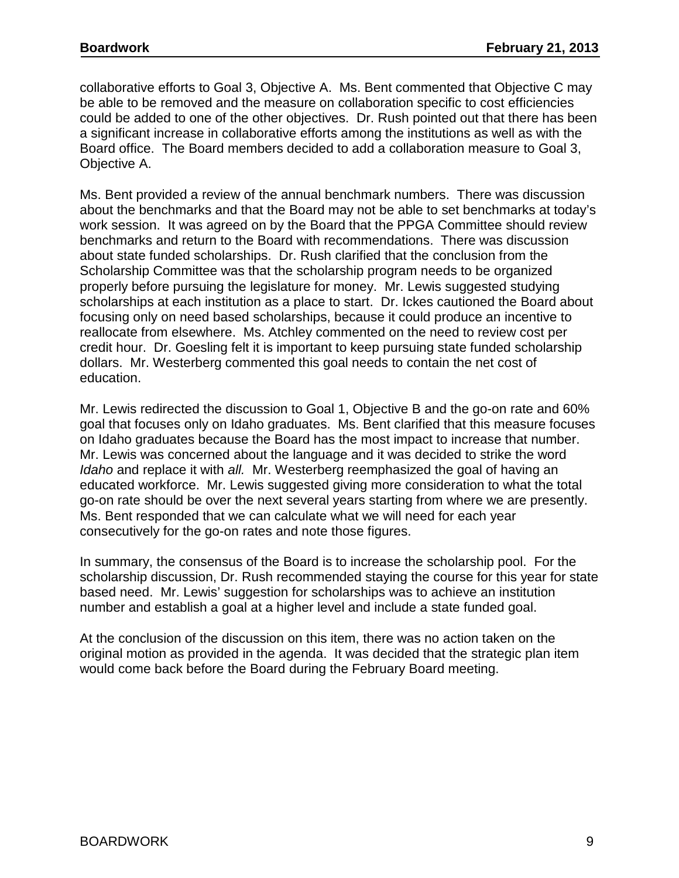collaborative efforts to Goal 3, Objective A. Ms. Bent commented that Objective C may be able to be removed and the measure on collaboration specific to cost efficiencies could be added to one of the other objectives. Dr. Rush pointed out that there has been a significant increase in collaborative efforts among the institutions as well as with the Board office. The Board members decided to add a collaboration measure to Goal 3, Objective A.

Ms. Bent provided a review of the annual benchmark numbers. There was discussion about the benchmarks and that the Board may not be able to set benchmarks at today's work session. It was agreed on by the Board that the PPGA Committee should review benchmarks and return to the Board with recommendations. There was discussion about state funded scholarships. Dr. Rush clarified that the conclusion from the Scholarship Committee was that the scholarship program needs to be organized properly before pursuing the legislature for money. Mr. Lewis suggested studying scholarships at each institution as a place to start. Dr. Ickes cautioned the Board about focusing only on need based scholarships, because it could produce an incentive to reallocate from elsewhere. Ms. Atchley commented on the need to review cost per credit hour. Dr. Goesling felt it is important to keep pursuing state funded scholarship dollars. Mr. Westerberg commented this goal needs to contain the net cost of education.

Mr. Lewis redirected the discussion to Goal 1, Objective B and the go-on rate and 60% goal that focuses only on Idaho graduates. Ms. Bent clarified that this measure focuses on Idaho graduates because the Board has the most impact to increase that number. Mr. Lewis was concerned about the language and it was decided to strike the word *Idaho* and replace it with *all.* Mr. Westerberg reemphasized the goal of having an educated workforce. Mr. Lewis suggested giving more consideration to what the total go-on rate should be over the next several years starting from where we are presently. Ms. Bent responded that we can calculate what we will need for each year consecutively for the go-on rates and note those figures.

In summary, the consensus of the Board is to increase the scholarship pool. For the scholarship discussion, Dr. Rush recommended staying the course for this year for state based need. Mr. Lewis' suggestion for scholarships was to achieve an institution number and establish a goal at a higher level and include a state funded goal.

At the conclusion of the discussion on this item, there was no action taken on the original motion as provided in the agenda. It was decided that the strategic plan item would come back before the Board during the February Board meeting.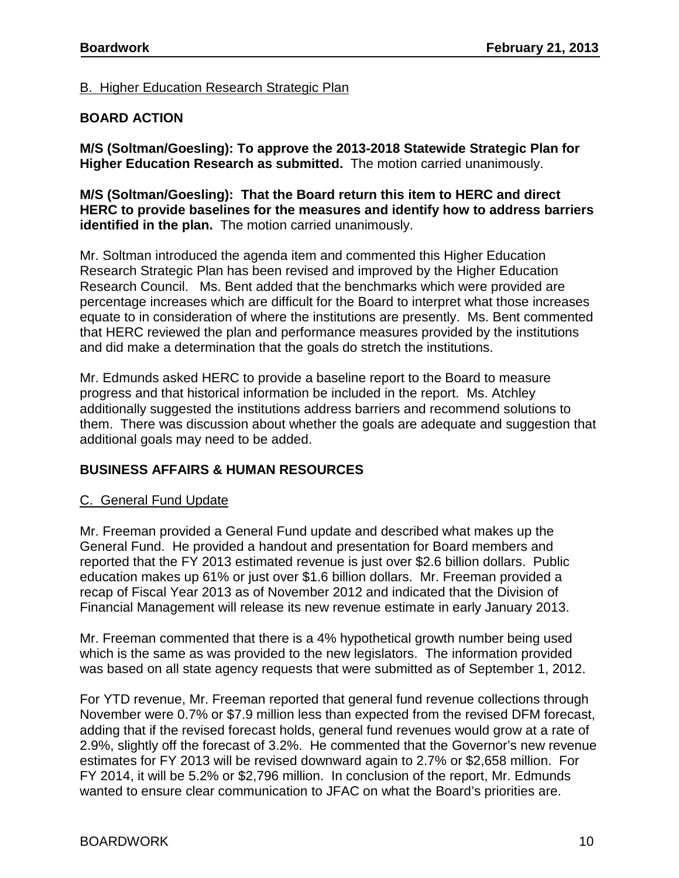## B. Higher Education Research Strategic Plan

## **BOARD ACTION**

**M/S (Soltman/Goesling): To approve the 2013-2018 Statewide Strategic Plan for Higher Education Research as submitted.** The motion carried unanimously.

**M/S (Soltman/Goesling): That the Board return this item to HERC and direct HERC to provide baselines for the measures and identify how to address barriers identified in the plan.** The motion carried unanimously.

Mr. Soltman introduced the agenda item and commented this Higher Education Research Strategic Plan has been revised and improved by the Higher Education Research Council. Ms. Bent added that the benchmarks which were provided are percentage increases which are difficult for the Board to interpret what those increases equate to in consideration of where the institutions are presently. Ms. Bent commented that HERC reviewed the plan and performance measures provided by the institutions and did make a determination that the goals do stretch the institutions.

Mr. Edmunds asked HERC to provide a baseline report to the Board to measure progress and that historical information be included in the report. Ms. Atchley additionally suggested the institutions address barriers and recommend solutions to them. There was discussion about whether the goals are adequate and suggestion that additional goals may need to be added.

# **BUSINESS AFFAIRS & HUMAN RESOURCES**

### C. General Fund Update

Mr. Freeman provided a General Fund update and described what makes up the General Fund. He provided a handout and presentation for Board members and reported that the FY 2013 estimated revenue is just over \$2.6 billion dollars. Public education makes up 61% or just over \$1.6 billion dollars. Mr. Freeman provided a recap of Fiscal Year 2013 as of November 2012 and indicated that the Division of Financial Management will release its new revenue estimate in early January 2013.

Mr. Freeman commented that there is a 4% hypothetical growth number being used which is the same as was provided to the new legislators. The information provided was based on all state agency requests that were submitted as of September 1, 2012.

For YTD revenue, Mr. Freeman reported that general fund revenue collections through November were 0.7% or \$7.9 million less than expected from the revised DFM forecast, adding that if the revised forecast holds, general fund revenues would grow at a rate of 2.9%, slightly off the forecast of 3.2%. He commented that the Governor's new revenue estimates for FY 2013 will be revised downward again to 2.7% or \$2,658 million. For FY 2014, it will be 5.2% or \$2,796 million. In conclusion of the report, Mr. Edmunds wanted to ensure clear communication to JFAC on what the Board's priorities are.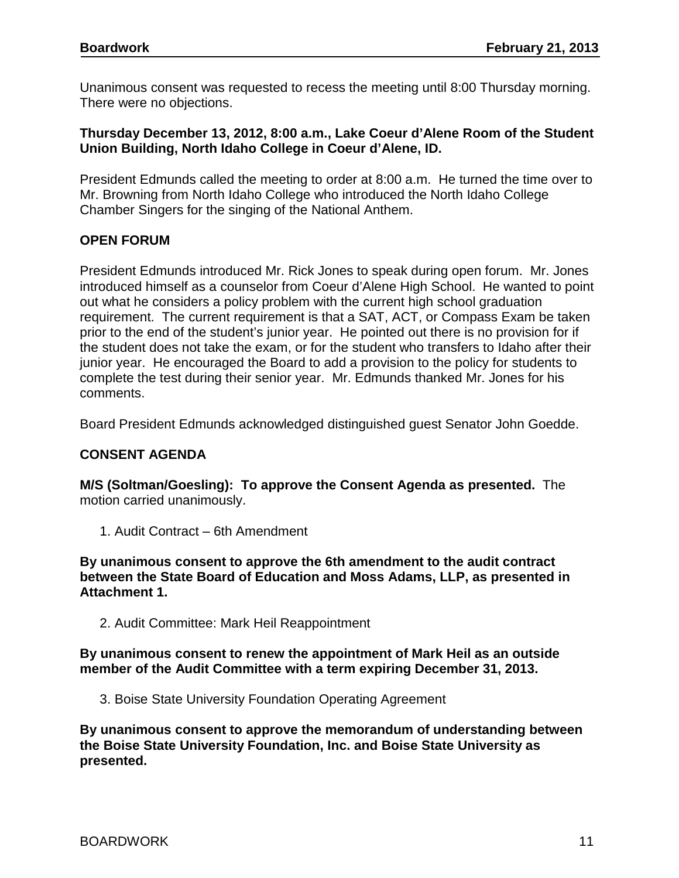Unanimous consent was requested to recess the meeting until 8:00 Thursday morning. There were no objections.

### **Thursday December 13, 2012, 8:00 a.m., Lake Coeur d'Alene Room of the Student Union Building, North Idaho College in Coeur d'Alene, ID.**

President Edmunds called the meeting to order at 8:00 a.m. He turned the time over to Mr. Browning from North Idaho College who introduced the North Idaho College Chamber Singers for the singing of the National Anthem.

## **OPEN FORUM**

President Edmunds introduced Mr. Rick Jones to speak during open forum. Mr. Jones introduced himself as a counselor from Coeur d'Alene High School. He wanted to point out what he considers a policy problem with the current high school graduation requirement. The current requirement is that a SAT, ACT, or Compass Exam be taken prior to the end of the student's junior year. He pointed out there is no provision for if the student does not take the exam, or for the student who transfers to Idaho after their junior year. He encouraged the Board to add a provision to the policy for students to complete the test during their senior year. Mr. Edmunds thanked Mr. Jones for his comments.

Board President Edmunds acknowledged distinguished guest Senator John Goedde.

# **CONSENT AGENDA**

**M/S (Soltman/Goesling): To approve the Consent Agenda as presented.** The motion carried unanimously.

1. Audit Contract – 6th Amendment

**By unanimous consent to approve the 6th amendment to the audit contract between the State Board of Education and Moss Adams, LLP, as presented in Attachment 1.** 

2. Audit Committee: Mark Heil Reappointment

#### **By unanimous consent to renew the appointment of Mark Heil as an outside member of the Audit Committee with a term expiring December 31, 2013.**

3. Boise State University Foundation Operating Agreement

**By unanimous consent to approve the memorandum of understanding between the Boise State University Foundation, Inc. and Boise State University as presented.**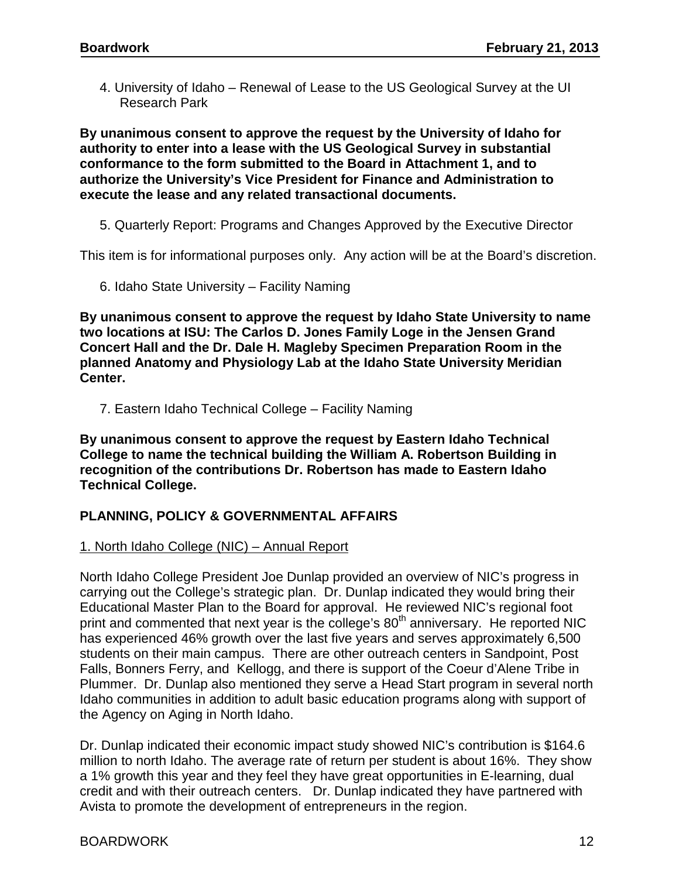4. University of Idaho – Renewal of Lease to the US Geological Survey at the UI Research Park

**By unanimous consent to approve the request by the University of Idaho for authority to enter into a lease with the US Geological Survey in substantial conformance to the form submitted to the Board in Attachment 1, and to authorize the University's Vice President for Finance and Administration to execute the lease and any related transactional documents.**

5. Quarterly Report: Programs and Changes Approved by the Executive Director

This item is for informational purposes only. Any action will be at the Board's discretion.

6. Idaho State University – Facility Naming

**By unanimous consent to approve the request by Idaho State University to name two locations at ISU: The Carlos D. Jones Family Loge in the Jensen Grand Concert Hall and the Dr. Dale H. Magleby Specimen Preparation Room in the planned Anatomy and Physiology Lab at the Idaho State University Meridian Center.**

7. Eastern Idaho Technical College – Facility Naming

**By unanimous consent to approve the request by Eastern Idaho Technical College to name the technical building the William A. Robertson Building in recognition of the contributions Dr. Robertson has made to Eastern Idaho Technical College.**

# **PLANNING, POLICY & GOVERNMENTAL AFFAIRS**

### 1. North Idaho College (NIC) – Annual Report

North Idaho College President Joe Dunlap provided an overview of NIC's progress in carrying out the College's strategic plan. Dr. Dunlap indicated they would bring their Educational Master Plan to the Board for approval. He reviewed NIC's regional foot print and commented that next year is the college's 80<sup>th</sup> anniversary. He reported NIC has experienced 46% growth over the last five years and serves approximately 6,500 students on their main campus. There are other outreach centers in Sandpoint, Post Falls, Bonners Ferry, and Kellogg, and there is support of the Coeur d'Alene Tribe in Plummer. Dr. Dunlap also mentioned they serve a Head Start program in several north Idaho communities in addition to adult basic education programs along with support of the Agency on Aging in North Idaho.

Dr. Dunlap indicated their economic impact study showed NIC's contribution is \$164.6 million to north Idaho. The average rate of return per student is about 16%. They show a 1% growth this year and they feel they have great opportunities in E-learning, dual credit and with their outreach centers. Dr. Dunlap indicated they have partnered with Avista to promote the development of entrepreneurs in the region.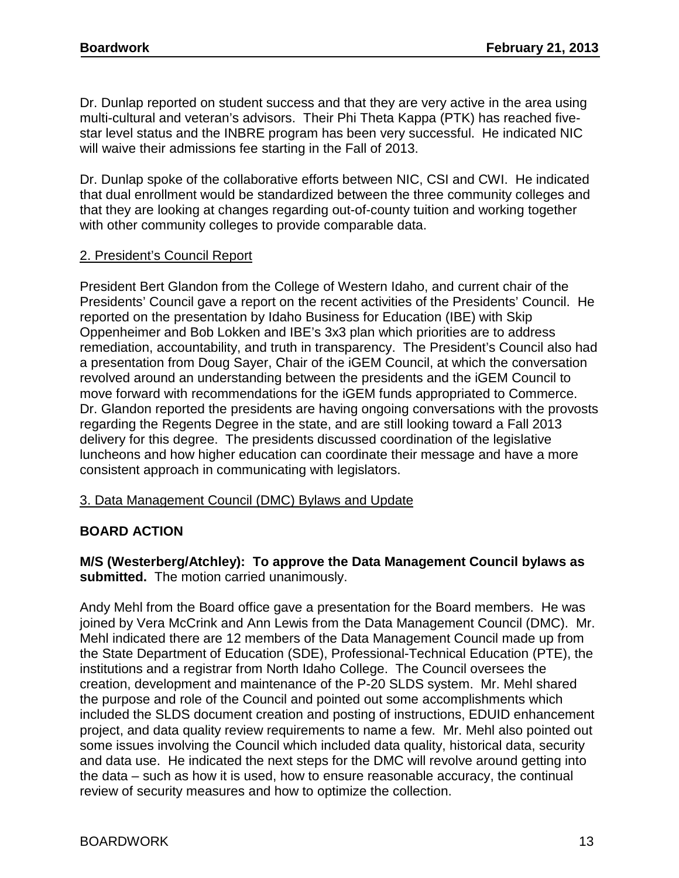Dr. Dunlap reported on student success and that they are very active in the area using multi-cultural and veteran's advisors. Their Phi Theta Kappa (PTK) has reached fivestar level status and the INBRE program has been very successful. He indicated NIC will waive their admissions fee starting in the Fall of 2013.

Dr. Dunlap spoke of the collaborative efforts between NIC, CSI and CWI. He indicated that dual enrollment would be standardized between the three community colleges and that they are looking at changes regarding out-of-county tuition and working together with other community colleges to provide comparable data.

## 2. President's Council Report

President Bert Glandon from the College of Western Idaho, and current chair of the Presidents' Council gave a report on the recent activities of the Presidents' Council. He reported on the presentation by Idaho Business for Education (IBE) with Skip Oppenheimer and Bob Lokken and IBE's 3x3 plan which priorities are to address remediation, accountability, and truth in transparency. The President's Council also had a presentation from Doug Sayer, Chair of the iGEM Council, at which the conversation revolved around an understanding between the presidents and the iGEM Council to move forward with recommendations for the iGEM funds appropriated to Commerce. Dr. Glandon reported the presidents are having ongoing conversations with the provosts regarding the Regents Degree in the state, and are still looking toward a Fall 2013 delivery for this degree. The presidents discussed coordination of the legislative luncheons and how higher education can coordinate their message and have a more consistent approach in communicating with legislators.

### 3. Data Management Council (DMC) Bylaws and Update

# **BOARD ACTION**

### **M/S (Westerberg/Atchley): To approve the Data Management Council bylaws as submitted.** The motion carried unanimously.

Andy Mehl from the Board office gave a presentation for the Board members. He was joined by Vera McCrink and Ann Lewis from the Data Management Council (DMC). Mr. Mehl indicated there are 12 members of the Data Management Council made up from the State Department of Education (SDE), Professional-Technical Education (PTE), the institutions and a registrar from North Idaho College. The Council oversees the creation, development and maintenance of the P-20 SLDS system. Mr. Mehl shared the purpose and role of the Council and pointed out some accomplishments which included the SLDS document creation and posting of instructions, EDUID enhancement project, and data quality review requirements to name a few. Mr. Mehl also pointed out some issues involving the Council which included data quality, historical data, security and data use. He indicated the next steps for the DMC will revolve around getting into the data – such as how it is used, how to ensure reasonable accuracy, the continual review of security measures and how to optimize the collection.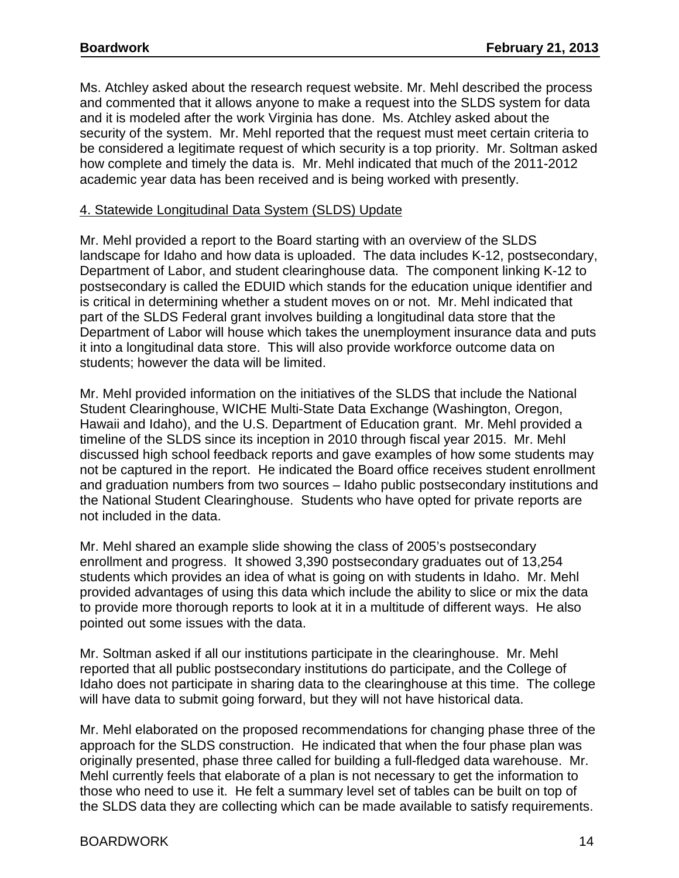Ms. Atchley asked about the research request website. Mr. Mehl described the process and commented that it allows anyone to make a request into the SLDS system for data and it is modeled after the work Virginia has done. Ms. Atchley asked about the security of the system. Mr. Mehl reported that the request must meet certain criteria to be considered a legitimate request of which security is a top priority. Mr. Soltman asked how complete and timely the data is. Mr. Mehl indicated that much of the 2011-2012 academic year data has been received and is being worked with presently.

### 4. Statewide Longitudinal Data System (SLDS) Update

Mr. Mehl provided a report to the Board starting with an overview of the SLDS landscape for Idaho and how data is uploaded. The data includes K-12, postsecondary, Department of Labor, and student clearinghouse data. The component linking K-12 to postsecondary is called the EDUID which stands for the education unique identifier and is critical in determining whether a student moves on or not. Mr. Mehl indicated that part of the SLDS Federal grant involves building a longitudinal data store that the Department of Labor will house which takes the unemployment insurance data and puts it into a longitudinal data store. This will also provide workforce outcome data on students; however the data will be limited.

Mr. Mehl provided information on the initiatives of the SLDS that include the National Student Clearinghouse, WICHE Multi-State Data Exchange (Washington, Oregon, Hawaii and Idaho), and the U.S. Department of Education grant. Mr. Mehl provided a timeline of the SLDS since its inception in 2010 through fiscal year 2015. Mr. Mehl discussed high school feedback reports and gave examples of how some students may not be captured in the report. He indicated the Board office receives student enrollment and graduation numbers from two sources – Idaho public postsecondary institutions and the National Student Clearinghouse. Students who have opted for private reports are not included in the data.

Mr. Mehl shared an example slide showing the class of 2005's postsecondary enrollment and progress. It showed 3,390 postsecondary graduates out of 13,254 students which provides an idea of what is going on with students in Idaho. Mr. Mehl provided advantages of using this data which include the ability to slice or mix the data to provide more thorough reports to look at it in a multitude of different ways. He also pointed out some issues with the data.

Mr. Soltman asked if all our institutions participate in the clearinghouse. Mr. Mehl reported that all public postsecondary institutions do participate, and the College of Idaho does not participate in sharing data to the clearinghouse at this time. The college will have data to submit going forward, but they will not have historical data.

Mr. Mehl elaborated on the proposed recommendations for changing phase three of the approach for the SLDS construction. He indicated that when the four phase plan was originally presented, phase three called for building a full-fledged data warehouse. Mr. Mehl currently feels that elaborate of a plan is not necessary to get the information to those who need to use it. He felt a summary level set of tables can be built on top of the SLDS data they are collecting which can be made available to satisfy requirements.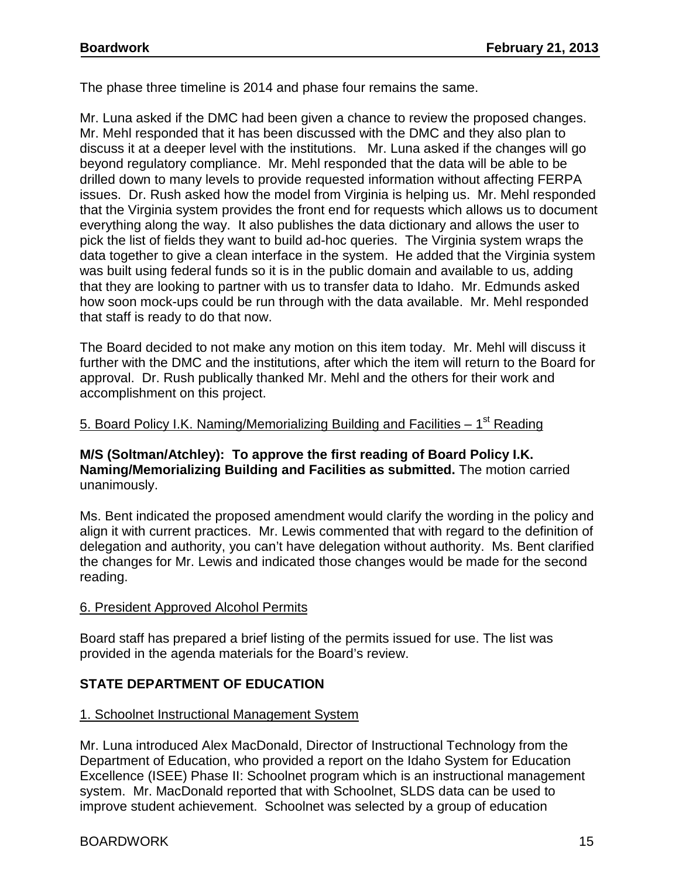The phase three timeline is 2014 and phase four remains the same.

Mr. Luna asked if the DMC had been given a chance to review the proposed changes. Mr. Mehl responded that it has been discussed with the DMC and they also plan to discuss it at a deeper level with the institutions. Mr. Luna asked if the changes will go beyond regulatory compliance. Mr. Mehl responded that the data will be able to be drilled down to many levels to provide requested information without affecting FERPA issues. Dr. Rush asked how the model from Virginia is helping us. Mr. Mehl responded that the Virginia system provides the front end for requests which allows us to document everything along the way. It also publishes the data dictionary and allows the user to pick the list of fields they want to build ad-hoc queries. The Virginia system wraps the data together to give a clean interface in the system. He added that the Virginia system was built using federal funds so it is in the public domain and available to us, adding that they are looking to partner with us to transfer data to Idaho. Mr. Edmunds asked how soon mock-ups could be run through with the data available. Mr. Mehl responded that staff is ready to do that now.

The Board decided to not make any motion on this item today. Mr. Mehl will discuss it further with the DMC and the institutions, after which the item will return to the Board for approval. Dr. Rush publically thanked Mr. Mehl and the others for their work and accomplishment on this project.

### 5. Board Policy I.K. Naming/Memorializing Building and Facilities  $-1<sup>st</sup>$  Reading

### **M/S (Soltman/Atchley): To approve the first reading of Board Policy I.K. Naming/Memorializing Building and Facilities as submitted.** The motion carried unanimously.

Ms. Bent indicated the proposed amendment would clarify the wording in the policy and align it with current practices. Mr. Lewis commented that with regard to the definition of delegation and authority, you can't have delegation without authority. Ms. Bent clarified the changes for Mr. Lewis and indicated those changes would be made for the second reading.

### 6. President Approved Alcohol Permits

Board staff has prepared a brief listing of the permits issued for use. The list was provided in the agenda materials for the Board's review.

# **STATE DEPARTMENT OF EDUCATION**

### 1. Schoolnet Instructional Management System

Mr. Luna introduced Alex MacDonald, Director of Instructional Technology from the Department of Education, who provided a report on the Idaho System for Education Excellence (ISEE) Phase II: Schoolnet program which is an instructional management system. Mr. MacDonald reported that with Schoolnet, SLDS data can be used to improve student achievement. Schoolnet was selected by a group of education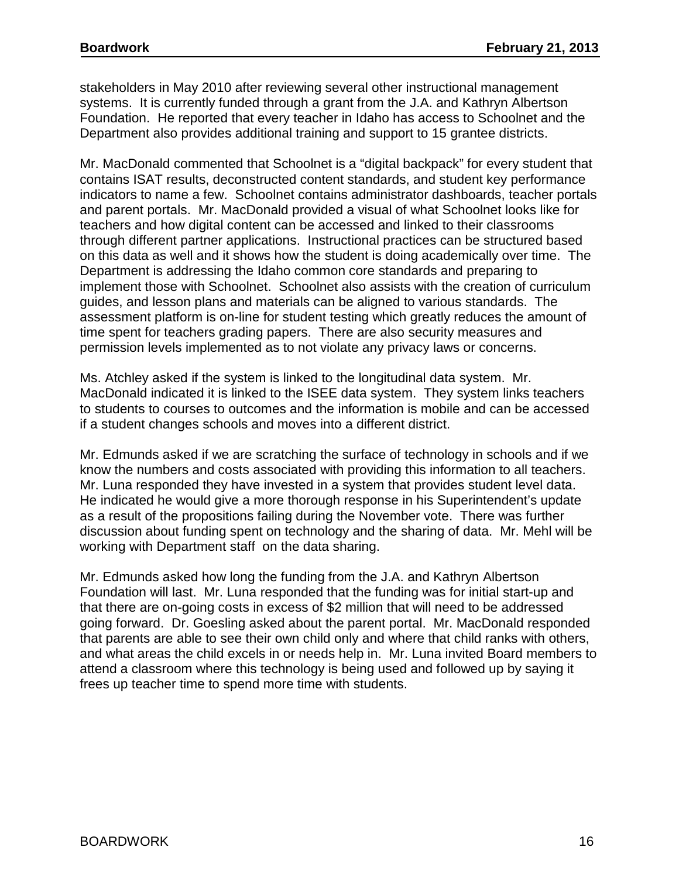stakeholders in May 2010 after reviewing several other instructional management systems. It is currently funded through a grant from the J.A. and Kathryn Albertson Foundation. He reported that every teacher in Idaho has access to Schoolnet and the Department also provides additional training and support to 15 grantee districts.

Mr. MacDonald commented that Schoolnet is a "digital backpack" for every student that contains ISAT results, deconstructed content standards, and student key performance indicators to name a few. Schoolnet contains administrator dashboards, teacher portals and parent portals. Mr. MacDonald provided a visual of what Schoolnet looks like for teachers and how digital content can be accessed and linked to their classrooms through different partner applications. Instructional practices can be structured based on this data as well and it shows how the student is doing academically over time. The Department is addressing the Idaho common core standards and preparing to implement those with Schoolnet. Schoolnet also assists with the creation of curriculum guides, and lesson plans and materials can be aligned to various standards. The assessment platform is on-line for student testing which greatly reduces the amount of time spent for teachers grading papers. There are also security measures and permission levels implemented as to not violate any privacy laws or concerns.

Ms. Atchley asked if the system is linked to the longitudinal data system. Mr. MacDonald indicated it is linked to the ISEE data system. They system links teachers to students to courses to outcomes and the information is mobile and can be accessed if a student changes schools and moves into a different district.

Mr. Edmunds asked if we are scratching the surface of technology in schools and if we know the numbers and costs associated with providing this information to all teachers. Mr. Luna responded they have invested in a system that provides student level data. He indicated he would give a more thorough response in his Superintendent's update as a result of the propositions failing during the November vote. There was further discussion about funding spent on technology and the sharing of data. Mr. Mehl will be working with Department staff on the data sharing.

Mr. Edmunds asked how long the funding from the J.A. and Kathryn Albertson Foundation will last. Mr. Luna responded that the funding was for initial start-up and that there are on-going costs in excess of \$2 million that will need to be addressed going forward. Dr. Goesling asked about the parent portal. Mr. MacDonald responded that parents are able to see their own child only and where that child ranks with others, and what areas the child excels in or needs help in. Mr. Luna invited Board members to attend a classroom where this technology is being used and followed up by saying it frees up teacher time to spend more time with students.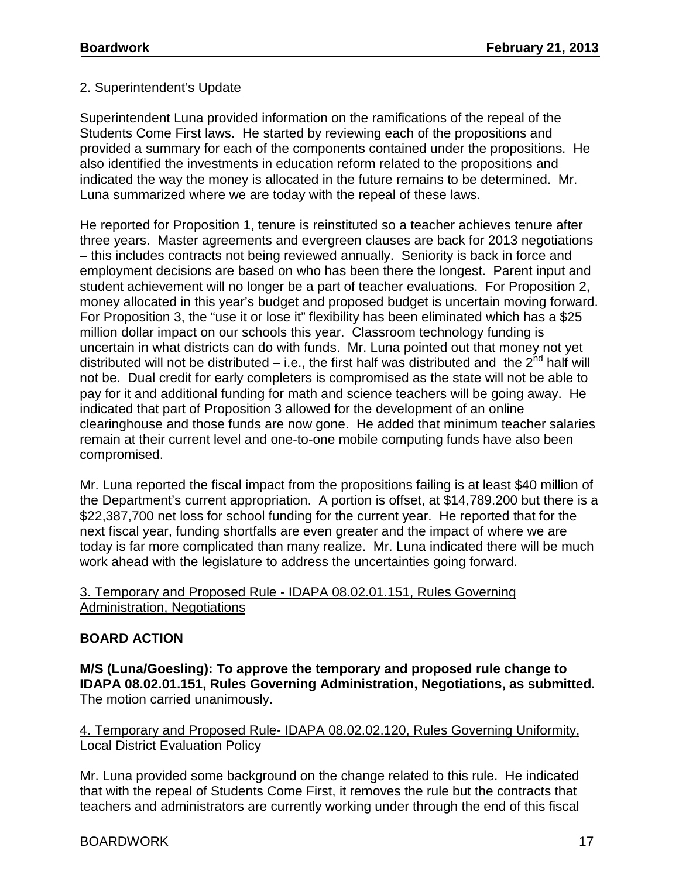## 2. Superintendent's Update

Superintendent Luna provided information on the ramifications of the repeal of the Students Come First laws. He started by reviewing each of the propositions and provided a summary for each of the components contained under the propositions. He also identified the investments in education reform related to the propositions and indicated the way the money is allocated in the future remains to be determined. Mr. Luna summarized where we are today with the repeal of these laws.

He reported for Proposition 1, tenure is reinstituted so a teacher achieves tenure after three years. Master agreements and evergreen clauses are back for 2013 negotiations – this includes contracts not being reviewed annually. Seniority is back in force and employment decisions are based on who has been there the longest. Parent input and student achievement will no longer be a part of teacher evaluations. For Proposition 2, money allocated in this year's budget and proposed budget is uncertain moving forward. For Proposition 3, the "use it or lose it" flexibility has been eliminated which has a \$25 million dollar impact on our schools this year. Classroom technology funding is uncertain in what districts can do with funds. Mr. Luna pointed out that money not yet distributed will not be distributed – i.e., the first half was distributed and the  $2^{nd}$  half will not be. Dual credit for early completers is compromised as the state will not be able to pay for it and additional funding for math and science teachers will be going away. He indicated that part of Proposition 3 allowed for the development of an online clearinghouse and those funds are now gone. He added that minimum teacher salaries remain at their current level and one-to-one mobile computing funds have also been compromised.

Mr. Luna reported the fiscal impact from the propositions failing is at least \$40 million of the Department's current appropriation. A portion is offset, at \$14,789.200 but there is a \$22,387,700 net loss for school funding for the current year. He reported that for the next fiscal year, funding shortfalls are even greater and the impact of where we are today is far more complicated than many realize. Mr. Luna indicated there will be much work ahead with the legislature to address the uncertainties going forward.

### 3. Temporary and Proposed Rule - IDAPA 08.02.01.151, Rules Governing Administration, Negotiations

### **BOARD ACTION**

**M/S (Luna/Goesling): To approve the temporary and proposed rule change to IDAPA 08.02.01.151, Rules Governing Administration, Negotiations, as submitted.**  The motion carried unanimously.

## 4. Temporary and Proposed Rule- IDAPA 08.02.02.120, Rules Governing Uniformity, Local District Evaluation Policy

Mr. Luna provided some background on the change related to this rule. He indicated that with the repeal of Students Come First, it removes the rule but the contracts that teachers and administrators are currently working under through the end of this fiscal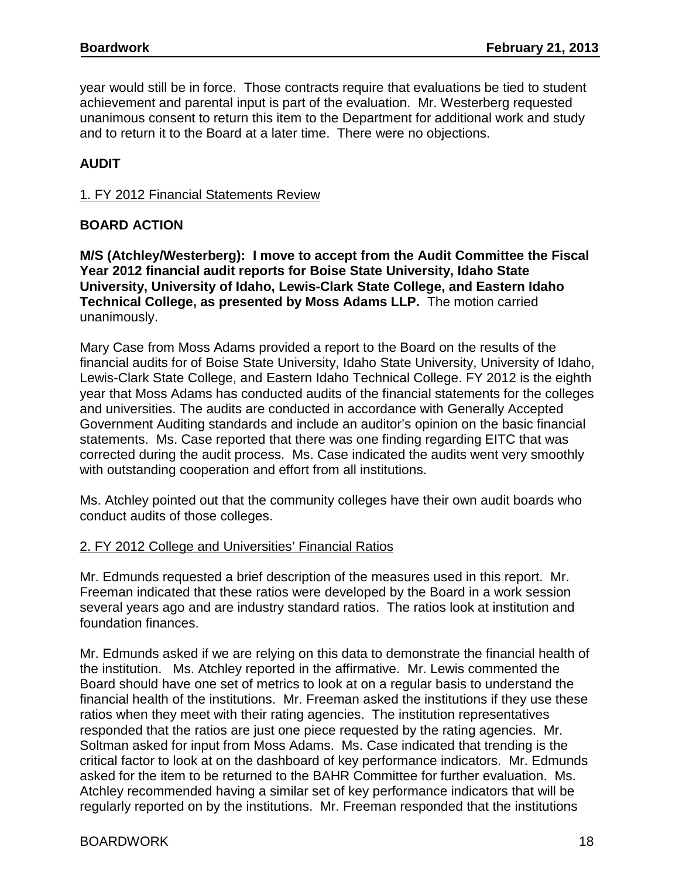year would still be in force. Those contracts require that evaluations be tied to student achievement and parental input is part of the evaluation. Mr. Westerberg requested unanimous consent to return this item to the Department for additional work and study and to return it to the Board at a later time. There were no objections.

# **AUDIT**

## 1. FY 2012 Financial Statements Review

## **BOARD ACTION**

**M/S (Atchley/Westerberg): I move to accept from the Audit Committee the Fiscal Year 2012 financial audit reports for Boise State University, Idaho State University, University of Idaho, Lewis-Clark State College, and Eastern Idaho Technical College, as presented by Moss Adams LLP.** The motion carried unanimously.

Mary Case from Moss Adams provided a report to the Board on the results of the financial audits for of Boise State University, Idaho State University, University of Idaho, Lewis-Clark State College, and Eastern Idaho Technical College. FY 2012 is the eighth year that Moss Adams has conducted audits of the financial statements for the colleges and universities. The audits are conducted in accordance with Generally Accepted Government Auditing standards and include an auditor's opinion on the basic financial statements. Ms. Case reported that there was one finding regarding EITC that was corrected during the audit process. Ms. Case indicated the audits went very smoothly with outstanding cooperation and effort from all institutions.

Ms. Atchley pointed out that the community colleges have their own audit boards who conduct audits of those colleges.

### 2. FY 2012 College and Universities' Financial Ratios

Mr. Edmunds requested a brief description of the measures used in this report. Mr. Freeman indicated that these ratios were developed by the Board in a work session several years ago and are industry standard ratios. The ratios look at institution and foundation finances.

Mr. Edmunds asked if we are relying on this data to demonstrate the financial health of the institution. Ms. Atchley reported in the affirmative. Mr. Lewis commented the Board should have one set of metrics to look at on a regular basis to understand the financial health of the institutions. Mr. Freeman asked the institutions if they use these ratios when they meet with their rating agencies. The institution representatives responded that the ratios are just one piece requested by the rating agencies. Mr. Soltman asked for input from Moss Adams. Ms. Case indicated that trending is the critical factor to look at on the dashboard of key performance indicators. Mr. Edmunds asked for the item to be returned to the BAHR Committee for further evaluation. Ms. Atchley recommended having a similar set of key performance indicators that will be regularly reported on by the institutions. Mr. Freeman responded that the institutions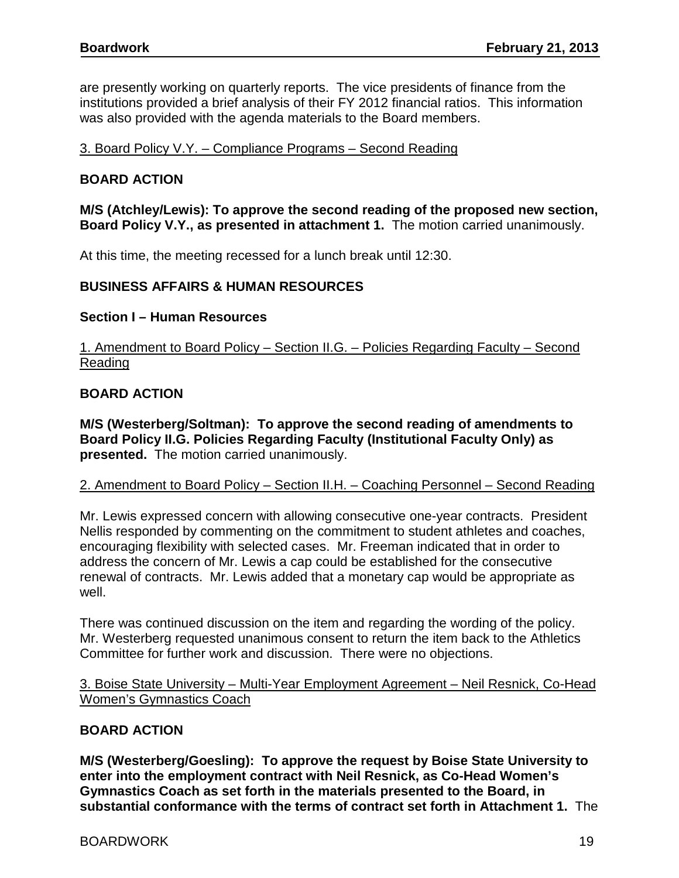are presently working on quarterly reports. The vice presidents of finance from the institutions provided a brief analysis of their FY 2012 financial ratios. This information was also provided with the agenda materials to the Board members.

3. Board Policy V.Y. – Compliance Programs – Second Reading

## **BOARD ACTION**

**M/S (Atchley/Lewis): To approve the second reading of the proposed new section, Board Policy V.Y., as presented in attachment 1.** The motion carried unanimously.

At this time, the meeting recessed for a lunch break until 12:30.

### **BUSINESS AFFAIRS & HUMAN RESOURCES**

### **Section I – Human Resources**

1. Amendment to Board Policy – Section II.G. – Policies Regarding Faculty – Second Reading

### **BOARD ACTION**

**M/S (Westerberg/Soltman): To approve the second reading of amendments to Board Policy II.G. Policies Regarding Faculty (Institutional Faculty Only) as presented.** The motion carried unanimously.

### 2. Amendment to Board Policy - Section II.H. - Coaching Personnel - Second Reading

Mr. Lewis expressed concern with allowing consecutive one-year contracts. President Nellis responded by commenting on the commitment to student athletes and coaches, encouraging flexibility with selected cases. Mr. Freeman indicated that in order to address the concern of Mr. Lewis a cap could be established for the consecutive renewal of contracts. Mr. Lewis added that a monetary cap would be appropriate as well.

There was continued discussion on the item and regarding the wording of the policy. Mr. Westerberg requested unanimous consent to return the item back to the Athletics Committee for further work and discussion. There were no objections.

## 3. Boise State University – Multi-Year Employment Agreement – Neil Resnick, Co-Head Women's Gymnastics Coach

### **BOARD ACTION**

**M/S (Westerberg/Goesling): To approve the request by Boise State University to enter into the employment contract with Neil Resnick, as Co-Head Women's Gymnastics Coach as set forth in the materials presented to the Board, in substantial conformance with the terms of contract set forth in Attachment 1.** The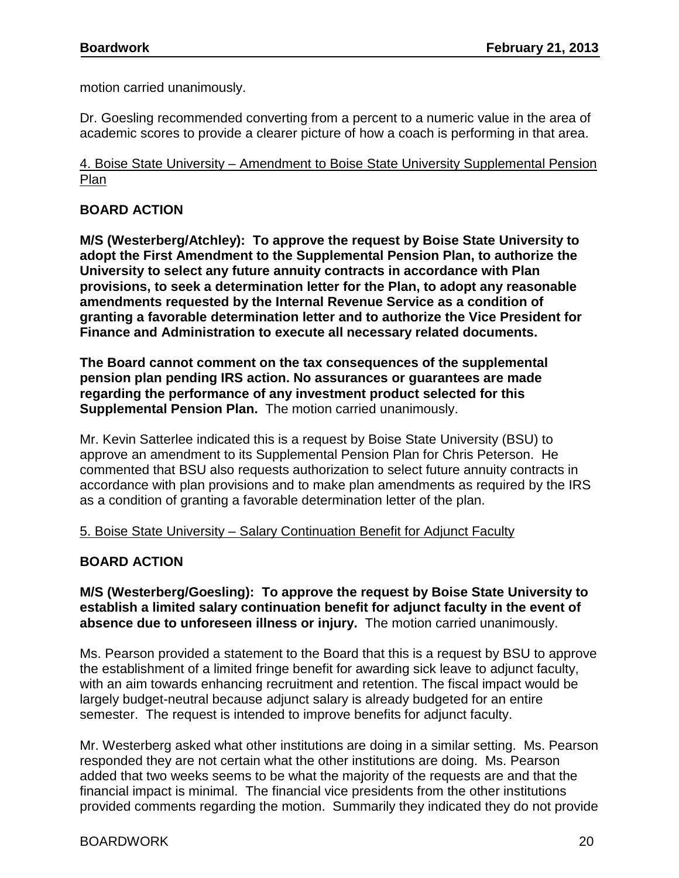motion carried unanimously.

Dr. Goesling recommended converting from a percent to a numeric value in the area of academic scores to provide a clearer picture of how a coach is performing in that area.

4. Boise State University – Amendment to Boise State University Supplemental Pension Plan

## **BOARD ACTION**

**M/S (Westerberg/Atchley): To approve the request by Boise State University to adopt the First Amendment to the Supplemental Pension Plan, to authorize the University to select any future annuity contracts in accordance with Plan provisions, to seek a determination letter for the Plan, to adopt any reasonable amendments requested by the Internal Revenue Service as a condition of granting a favorable determination letter and to authorize the Vice President for Finance and Administration to execute all necessary related documents.**

**The Board cannot comment on the tax consequences of the supplemental pension plan pending IRS action. No assurances or guarantees are made regarding the performance of any investment product selected for this Supplemental Pension Plan.** The motion carried unanimously.

Mr. Kevin Satterlee indicated this is a request by Boise State University (BSU) to approve an amendment to its Supplemental Pension Plan for Chris Peterson. He commented that BSU also requests authorization to select future annuity contracts in accordance with plan provisions and to make plan amendments as required by the IRS as a condition of granting a favorable determination letter of the plan.

5. Boise State University – Salary Continuation Benefit for Adjunct Faculty

# **BOARD ACTION**

**M/S (Westerberg/Goesling): To approve the request by Boise State University to establish a limited salary continuation benefit for adjunct faculty in the event of absence due to unforeseen illness or injury.** The motion carried unanimously.

Ms. Pearson provided a statement to the Board that this is a request by BSU to approve the establishment of a limited fringe benefit for awarding sick leave to adjunct faculty, with an aim towards enhancing recruitment and retention. The fiscal impact would be largely budget-neutral because adjunct salary is already budgeted for an entire semester. The request is intended to improve benefits for adjunct faculty.

Mr. Westerberg asked what other institutions are doing in a similar setting. Ms. Pearson responded they are not certain what the other institutions are doing. Ms. Pearson added that two weeks seems to be what the majority of the requests are and that the financial impact is minimal. The financial vice presidents from the other institutions provided comments regarding the motion. Summarily they indicated they do not provide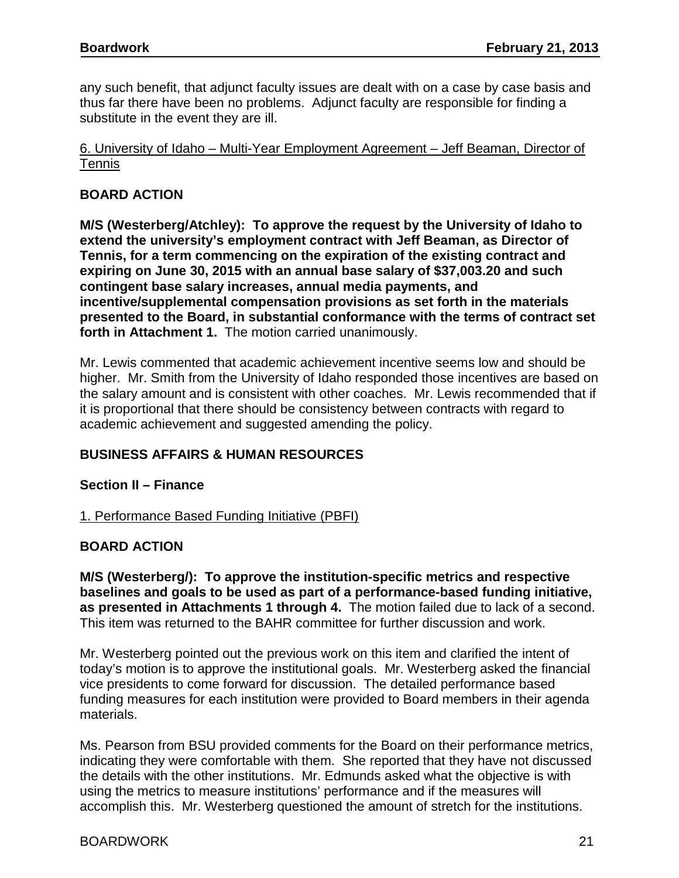any such benefit, that adjunct faculty issues are dealt with on a case by case basis and thus far there have been no problems. Adjunct faculty are responsible for finding a substitute in the event they are ill.

## 6. University of Idaho – Multi-Year Employment Agreement – Jeff Beaman, Director of Tennis

## **BOARD ACTION**

**M/S (Westerberg/Atchley): To approve the request by the University of Idaho to extend the university's employment contract with Jeff Beaman, as Director of Tennis, for a term commencing on the expiration of the existing contract and expiring on June 30, 2015 with an annual base salary of \$37,003.20 and such contingent base salary increases, annual media payments, and incentive/supplemental compensation provisions as set forth in the materials presented to the Board, in substantial conformance with the terms of contract set forth in Attachment 1.** The motion carried unanimously.

Mr. Lewis commented that academic achievement incentive seems low and should be higher. Mr. Smith from the University of Idaho responded those incentives are based on the salary amount and is consistent with other coaches. Mr. Lewis recommended that if it is proportional that there should be consistency between contracts with regard to academic achievement and suggested amending the policy.

# **BUSINESS AFFAIRS & HUMAN RESOURCES**

### **Section II – Finance**

### 1. Performance Based Funding Initiative (PBFI)

### **BOARD ACTION**

**M/S (Westerberg/): To approve the institution-specific metrics and respective baselines and goals to be used as part of a performance-based funding initiative, as presented in Attachments 1 through 4.** The motion failed due to lack of a second. This item was returned to the BAHR committee for further discussion and work.

Mr. Westerberg pointed out the previous work on this item and clarified the intent of today's motion is to approve the institutional goals. Mr. Westerberg asked the financial vice presidents to come forward for discussion. The detailed performance based funding measures for each institution were provided to Board members in their agenda materials.

Ms. Pearson from BSU provided comments for the Board on their performance metrics, indicating they were comfortable with them. She reported that they have not discussed the details with the other institutions. Mr. Edmunds asked what the objective is with using the metrics to measure institutions' performance and if the measures will accomplish this. Mr. Westerberg questioned the amount of stretch for the institutions.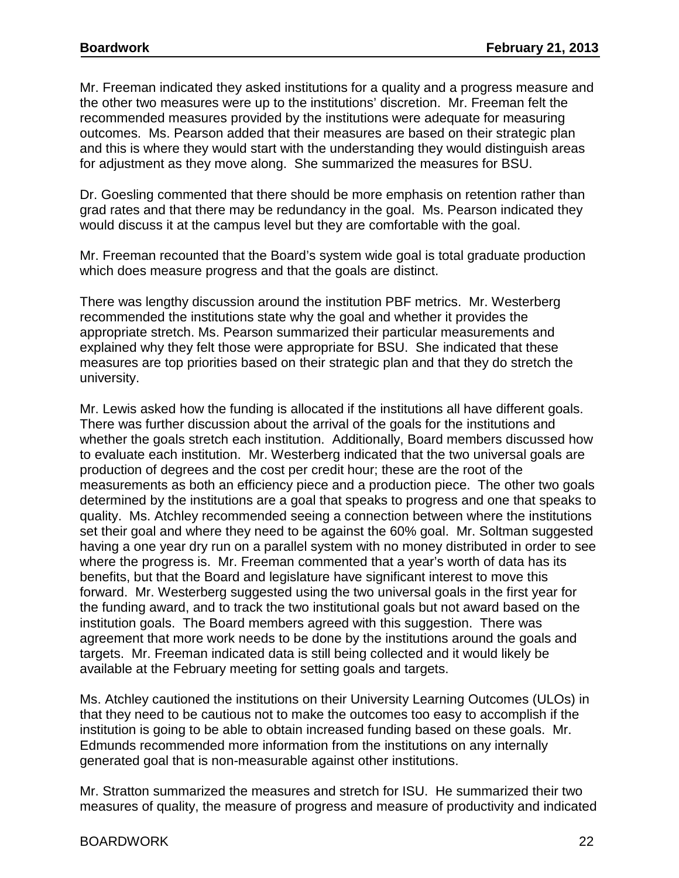Mr. Freeman indicated they asked institutions for a quality and a progress measure and the other two measures were up to the institutions' discretion. Mr. Freeman felt the recommended measures provided by the institutions were adequate for measuring outcomes. Ms. Pearson added that their measures are based on their strategic plan and this is where they would start with the understanding they would distinguish areas for adjustment as they move along. She summarized the measures for BSU.

Dr. Goesling commented that there should be more emphasis on retention rather than grad rates and that there may be redundancy in the goal. Ms. Pearson indicated they would discuss it at the campus level but they are comfortable with the goal.

Mr. Freeman recounted that the Board's system wide goal is total graduate production which does measure progress and that the goals are distinct.

There was lengthy discussion around the institution PBF metrics. Mr. Westerberg recommended the institutions state why the goal and whether it provides the appropriate stretch. Ms. Pearson summarized their particular measurements and explained why they felt those were appropriate for BSU. She indicated that these measures are top priorities based on their strategic plan and that they do stretch the university.

Mr. Lewis asked how the funding is allocated if the institutions all have different goals. There was further discussion about the arrival of the goals for the institutions and whether the goals stretch each institution. Additionally, Board members discussed how to evaluate each institution. Mr. Westerberg indicated that the two universal goals are production of degrees and the cost per credit hour; these are the root of the measurements as both an efficiency piece and a production piece. The other two goals determined by the institutions are a goal that speaks to progress and one that speaks to quality. Ms. Atchley recommended seeing a connection between where the institutions set their goal and where they need to be against the 60% goal. Mr. Soltman suggested having a one year dry run on a parallel system with no money distributed in order to see where the progress is. Mr. Freeman commented that a year's worth of data has its benefits, but that the Board and legislature have significant interest to move this forward. Mr. Westerberg suggested using the two universal goals in the first year for the funding award, and to track the two institutional goals but not award based on the institution goals. The Board members agreed with this suggestion. There was agreement that more work needs to be done by the institutions around the goals and targets. Mr. Freeman indicated data is still being collected and it would likely be available at the February meeting for setting goals and targets.

Ms. Atchley cautioned the institutions on their University Learning Outcomes (ULOs) in that they need to be cautious not to make the outcomes too easy to accomplish if the institution is going to be able to obtain increased funding based on these goals. Mr. Edmunds recommended more information from the institutions on any internally generated goal that is non-measurable against other institutions.

Mr. Stratton summarized the measures and stretch for ISU. He summarized their two measures of quality, the measure of progress and measure of productivity and indicated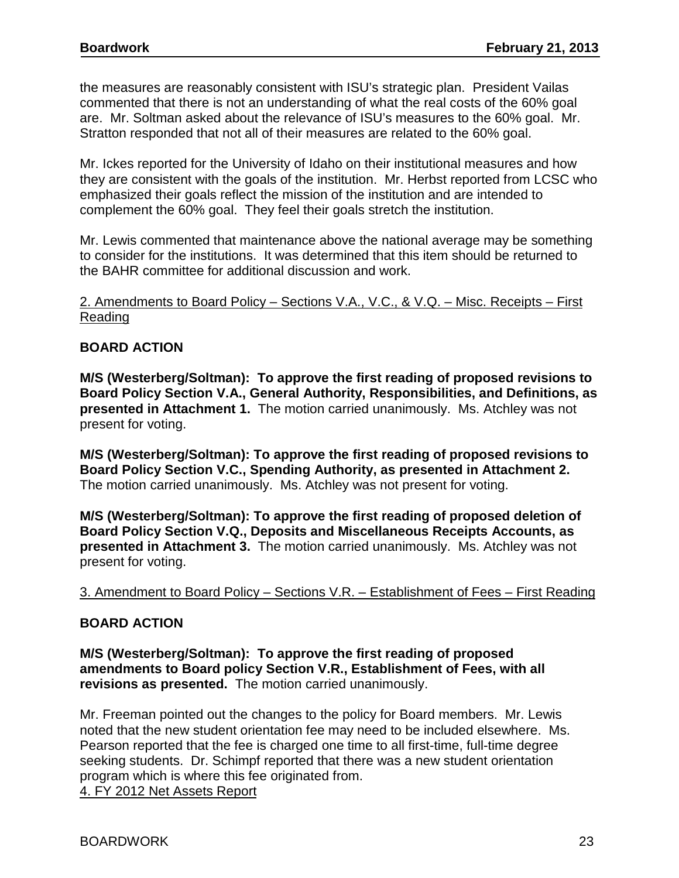the measures are reasonably consistent with ISU's strategic plan. President Vailas commented that there is not an understanding of what the real costs of the 60% goal are. Mr. Soltman asked about the relevance of ISU's measures to the 60% goal. Mr. Stratton responded that not all of their measures are related to the 60% goal.

Mr. Ickes reported for the University of Idaho on their institutional measures and how they are consistent with the goals of the institution. Mr. Herbst reported from LCSC who emphasized their goals reflect the mission of the institution and are intended to complement the 60% goal. They feel their goals stretch the institution.

Mr. Lewis commented that maintenance above the national average may be something to consider for the institutions. It was determined that this item should be returned to the BAHR committee for additional discussion and work.

### 2. Amendments to Board Policy – Sections V.A., V.C., & V.Q. – Misc. Receipts – First Reading

## **BOARD ACTION**

**M/S (Westerberg/Soltman): To approve the first reading of proposed revisions to Board Policy Section V.A., General Authority, Responsibilities, and Definitions, as presented in Attachment 1.** The motion carried unanimously. Ms. Atchley was not present for voting.

**M/S (Westerberg/Soltman): To approve the first reading of proposed revisions to Board Policy Section V.C., Spending Authority, as presented in Attachment 2.**  The motion carried unanimously. Ms. Atchley was not present for voting.

**M/S (Westerberg/Soltman): To approve the first reading of proposed deletion of Board Policy Section V.Q., Deposits and Miscellaneous Receipts Accounts, as presented in Attachment 3.** The motion carried unanimously. Ms. Atchley was not present for voting.

### 3. Amendment to Board Policy – Sections V.R. – Establishment of Fees – First Reading

### **BOARD ACTION**

**M/S (Westerberg/Soltman): To approve the first reading of proposed amendments to Board policy Section V.R., Establishment of Fees, with all revisions as presented.** The motion carried unanimously.

Mr. Freeman pointed out the changes to the policy for Board members. Mr. Lewis noted that the new student orientation fee may need to be included elsewhere. Ms. Pearson reported that the fee is charged one time to all first-time, full-time degree seeking students. Dr. Schimpf reported that there was a new student orientation program which is where this fee originated from.

4. FY 2012 Net Assets Report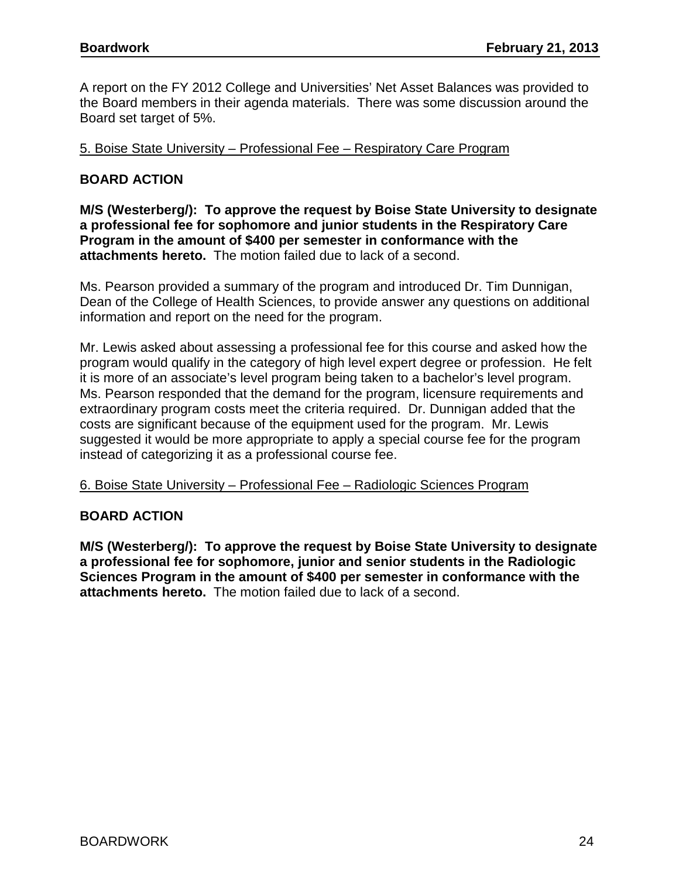A report on the FY 2012 College and Universities' Net Asset Balances was provided to the Board members in their agenda materials. There was some discussion around the Board set target of 5%.

### 5. Boise State University – Professional Fee – Respiratory Care Program

## **BOARD ACTION**

**M/S (Westerberg/): To approve the request by Boise State University to designate a professional fee for sophomore and junior students in the Respiratory Care Program in the amount of \$400 per semester in conformance with the attachments hereto.** The motion failed due to lack of a second.

Ms. Pearson provided a summary of the program and introduced Dr. Tim Dunnigan, Dean of the College of Health Sciences, to provide answer any questions on additional information and report on the need for the program.

Mr. Lewis asked about assessing a professional fee for this course and asked how the program would qualify in the category of high level expert degree or profession. He felt it is more of an associate's level program being taken to a bachelor's level program. Ms. Pearson responded that the demand for the program, licensure requirements and extraordinary program costs meet the criteria required. Dr. Dunnigan added that the costs are significant because of the equipment used for the program. Mr. Lewis suggested it would be more appropriate to apply a special course fee for the program instead of categorizing it as a professional course fee.

#### 6. Boise State University – Professional Fee – Radiologic Sciences Program

### **BOARD ACTION**

**M/S (Westerberg/): To approve the request by Boise State University to designate a professional fee for sophomore, junior and senior students in the Radiologic Sciences Program in the amount of \$400 per semester in conformance with the attachments hereto.** The motion failed due to lack of a second.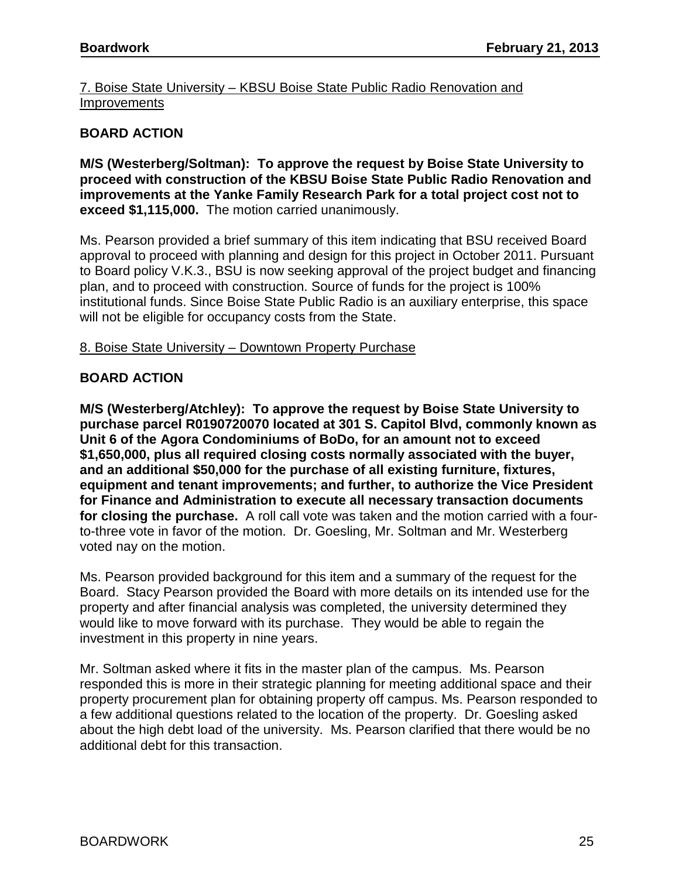7. Boise State University – KBSU Boise State Public Radio Renovation and **Improvements** 

## **BOARD ACTION**

**M/S (Westerberg/Soltman): To approve the request by Boise State University to proceed with construction of the KBSU Boise State Public Radio Renovation and improvements at the Yanke Family Research Park for a total project cost not to exceed \$1,115,000.** The motion carried unanimously.

Ms. Pearson provided a brief summary of this item indicating that BSU received Board approval to proceed with planning and design for this project in October 2011. Pursuant to Board policy V.K.3., BSU is now seeking approval of the project budget and financing plan, and to proceed with construction. Source of funds for the project is 100% institutional funds. Since Boise State Public Radio is an auxiliary enterprise, this space will not be eligible for occupancy costs from the State.

### 8. Boise State University – Downtown Property Purchase

### **BOARD ACTION**

**M/S (Westerberg/Atchley): To approve the request by Boise State University to purchase parcel R0190720070 located at 301 S. Capitol Blvd, commonly known as Unit 6 of the Agora Condominiums of BoDo, for an amount not to exceed \$1,650,000, plus all required closing costs normally associated with the buyer, and an additional \$50,000 for the purchase of all existing furniture, fixtures, equipment and tenant improvements; and further, to authorize the Vice President for Finance and Administration to execute all necessary transaction documents for closing the purchase.** A roll call vote was taken and the motion carried with a fourto-three vote in favor of the motion. Dr. Goesling, Mr. Soltman and Mr. Westerberg voted nay on the motion.

Ms. Pearson provided background for this item and a summary of the request for the Board. Stacy Pearson provided the Board with more details on its intended use for the property and after financial analysis was completed, the university determined they would like to move forward with its purchase. They would be able to regain the investment in this property in nine years.

Mr. Soltman asked where it fits in the master plan of the campus. Ms. Pearson responded this is more in their strategic planning for meeting additional space and their property procurement plan for obtaining property off campus. Ms. Pearson responded to a few additional questions related to the location of the property. Dr. Goesling asked about the high debt load of the university. Ms. Pearson clarified that there would be no additional debt for this transaction.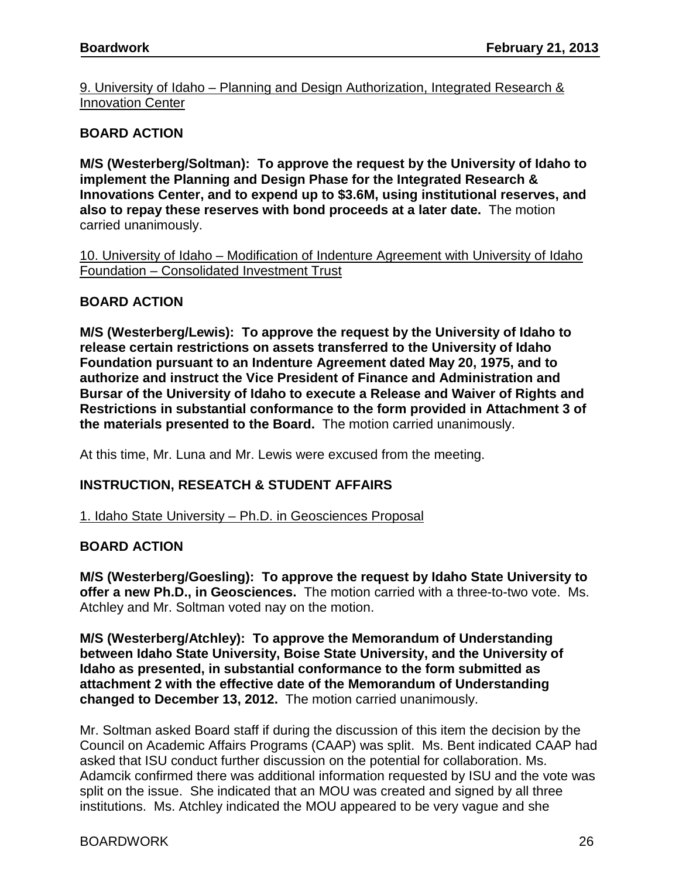9. University of Idaho – Planning and Design Authorization, Integrated Research & Innovation Center

### **BOARD ACTION**

**M/S (Westerberg/Soltman): To approve the request by the University of Idaho to implement the Planning and Design Phase for the Integrated Research & Innovations Center, and to expend up to \$3.6M, using institutional reserves, and also to repay these reserves with bond proceeds at a later date.** The motion carried unanimously.

10. University of Idaho – Modification of Indenture Agreement with University of Idaho Foundation – Consolidated Investment Trust

### **BOARD ACTION**

**M/S (Westerberg/Lewis): To approve the request by the University of Idaho to release certain restrictions on assets transferred to the University of Idaho Foundation pursuant to an Indenture Agreement dated May 20, 1975, and to authorize and instruct the Vice President of Finance and Administration and Bursar of the University of Idaho to execute a Release and Waiver of Rights and Restrictions in substantial conformance to the form provided in Attachment 3 of the materials presented to the Board.** The motion carried unanimously.

At this time, Mr. Luna and Mr. Lewis were excused from the meeting.

### **INSTRUCTION, RESEATCH & STUDENT AFFAIRS**

1. Idaho State University – Ph.D. in Geosciences Proposal

#### **BOARD ACTION**

**M/S (Westerberg/Goesling): To approve the request by Idaho State University to offer a new Ph.D., in Geosciences.** The motion carried with a three-to-two vote. Ms. Atchley and Mr. Soltman voted nay on the motion.

**M/S (Westerberg/Atchley): To approve the Memorandum of Understanding between Idaho State University, Boise State University, and the University of Idaho as presented, in substantial conformance to the form submitted as attachment 2 with the effective date of the Memorandum of Understanding changed to December 13, 2012.** The motion carried unanimously.

Mr. Soltman asked Board staff if during the discussion of this item the decision by the Council on Academic Affairs Programs (CAAP) was split. Ms. Bent indicated CAAP had asked that ISU conduct further discussion on the potential for collaboration. Ms. Adamcik confirmed there was additional information requested by ISU and the vote was split on the issue. She indicated that an MOU was created and signed by all three institutions. Ms. Atchley indicated the MOU appeared to be very vague and she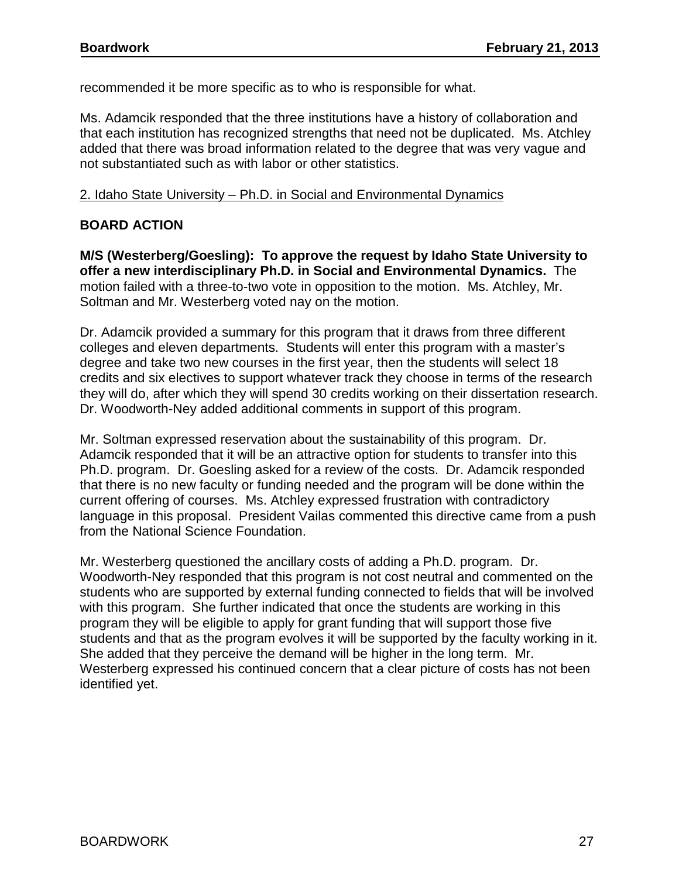recommended it be more specific as to who is responsible for what.

Ms. Adamcik responded that the three institutions have a history of collaboration and that each institution has recognized strengths that need not be duplicated. Ms. Atchley added that there was broad information related to the degree that was very vague and not substantiated such as with labor or other statistics.

### 2. Idaho State University – Ph.D. in Social and Environmental Dynamics

## **BOARD ACTION**

**M/S (Westerberg/Goesling): To approve the request by Idaho State University to offer a new interdisciplinary Ph.D. in Social and Environmental Dynamics.** The motion failed with a three-to-two vote in opposition to the motion. Ms. Atchley, Mr. Soltman and Mr. Westerberg voted nay on the motion.

Dr. Adamcik provided a summary for this program that it draws from three different colleges and eleven departments. Students will enter this program with a master's degree and take two new courses in the first year, then the students will select 18 credits and six electives to support whatever track they choose in terms of the research they will do, after which they will spend 30 credits working on their dissertation research. Dr. Woodworth-Ney added additional comments in support of this program.

Mr. Soltman expressed reservation about the sustainability of this program. Dr. Adamcik responded that it will be an attractive option for students to transfer into this Ph.D. program. Dr. Goesling asked for a review of the costs. Dr. Adamcik responded that there is no new faculty or funding needed and the program will be done within the current offering of courses. Ms. Atchley expressed frustration with contradictory language in this proposal. President Vailas commented this directive came from a push from the National Science Foundation.

Mr. Westerberg questioned the ancillary costs of adding a Ph.D. program. Dr. Woodworth-Ney responded that this program is not cost neutral and commented on the students who are supported by external funding connected to fields that will be involved with this program. She further indicated that once the students are working in this program they will be eligible to apply for grant funding that will support those five students and that as the program evolves it will be supported by the faculty working in it. She added that they perceive the demand will be higher in the long term. Mr. Westerberg expressed his continued concern that a clear picture of costs has not been identified yet.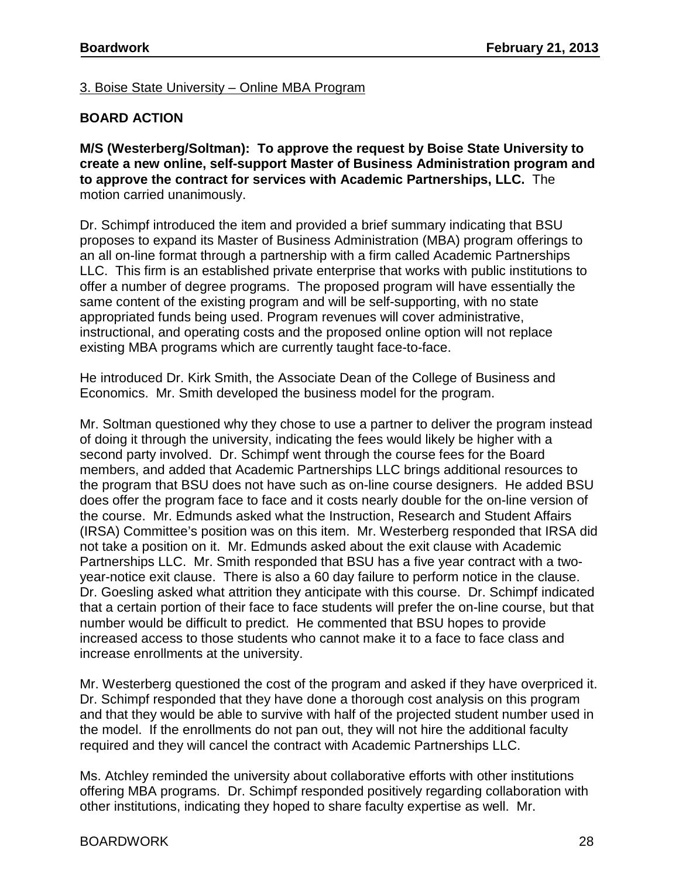3. Boise State University – Online MBA Program

## **BOARD ACTION**

**M/S (Westerberg/Soltman): To approve the request by Boise State University to create a new online, self-support Master of Business Administration program and to approve the contract for services with Academic Partnerships, LLC.** The motion carried unanimously.

Dr. Schimpf introduced the item and provided a brief summary indicating that BSU proposes to expand its Master of Business Administration (MBA) program offerings to an all on-line format through a partnership with a firm called Academic Partnerships LLC. This firm is an established private enterprise that works with public institutions to offer a number of degree programs. The proposed program will have essentially the same content of the existing program and will be self-supporting, with no state appropriated funds being used. Program revenues will cover administrative, instructional, and operating costs and the proposed online option will not replace existing MBA programs which are currently taught face-to-face.

He introduced Dr. Kirk Smith, the Associate Dean of the College of Business and Economics. Mr. Smith developed the business model for the program.

Mr. Soltman questioned why they chose to use a partner to deliver the program instead of doing it through the university, indicating the fees would likely be higher with a second party involved. Dr. Schimpf went through the course fees for the Board members, and added that Academic Partnerships LLC brings additional resources to the program that BSU does not have such as on-line course designers. He added BSU does offer the program face to face and it costs nearly double for the on-line version of the course. Mr. Edmunds asked what the Instruction, Research and Student Affairs (IRSA) Committee's position was on this item. Mr. Westerberg responded that IRSA did not take a position on it. Mr. Edmunds asked about the exit clause with Academic Partnerships LLC. Mr. Smith responded that BSU has a five year contract with a twoyear-notice exit clause. There is also a 60 day failure to perform notice in the clause. Dr. Goesling asked what attrition they anticipate with this course. Dr. Schimpf indicated that a certain portion of their face to face students will prefer the on-line course, but that number would be difficult to predict. He commented that BSU hopes to provide increased access to those students who cannot make it to a face to face class and increase enrollments at the university.

Mr. Westerberg questioned the cost of the program and asked if they have overpriced it. Dr. Schimpf responded that they have done a thorough cost analysis on this program and that they would be able to survive with half of the projected student number used in the model. If the enrollments do not pan out, they will not hire the additional faculty required and they will cancel the contract with Academic Partnerships LLC.

Ms. Atchley reminded the university about collaborative efforts with other institutions offering MBA programs. Dr. Schimpf responded positively regarding collaboration with other institutions, indicating they hoped to share faculty expertise as well. Mr.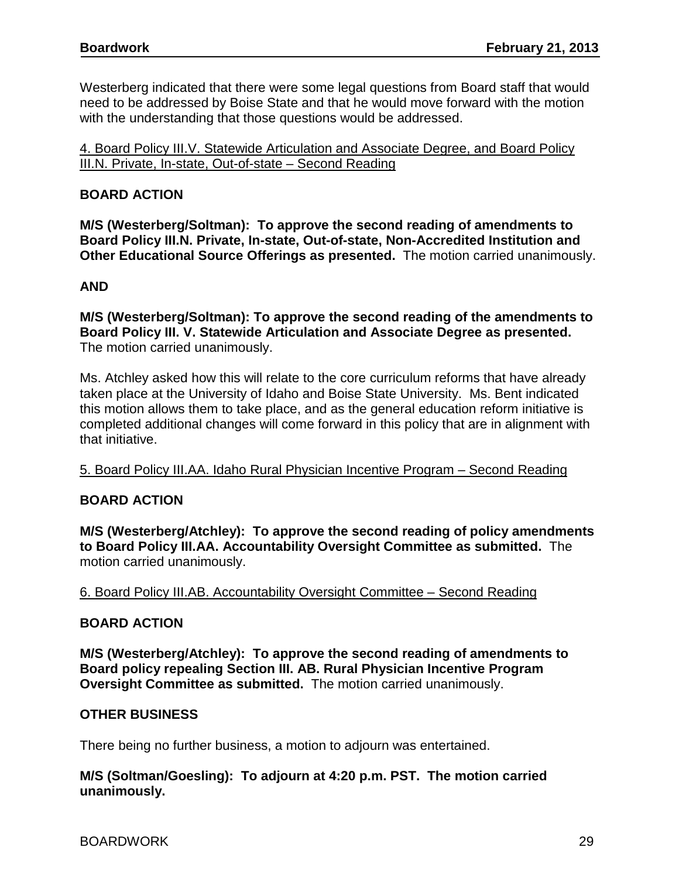Westerberg indicated that there were some legal questions from Board staff that would need to be addressed by Boise State and that he would move forward with the motion with the understanding that those questions would be addressed.

4. Board Policy III.V. Statewide Articulation and Associate Degree, and Board Policy III.N. Private, In-state, Out-of-state – Second Reading

## **BOARD ACTION**

**M/S (Westerberg/Soltman): To approve the second reading of amendments to Board Policy III.N. Private, In-state, Out-of-state, Non-Accredited Institution and Other Educational Source Offerings as presented.** The motion carried unanimously.

## **AND**

**M/S (Westerberg/Soltman): To approve the second reading of the amendments to Board Policy III. V. Statewide Articulation and Associate Degree as presented.**  The motion carried unanimously.

Ms. Atchley asked how this will relate to the core curriculum reforms that have already taken place at the University of Idaho and Boise State University. Ms. Bent indicated this motion allows them to take place, and as the general education reform initiative is completed additional changes will come forward in this policy that are in alignment with that initiative.

# 5. Board Policy III.AA. Idaho Rural Physician Incentive Program – Second Reading

### **BOARD ACTION**

**M/S (Westerberg/Atchley): To approve the second reading of policy amendments to Board Policy III.AA. Accountability Oversight Committee as submitted.** The motion carried unanimously.

### 6. Board Policy III.AB. Accountability Oversight Committee – Second Reading

### **BOARD ACTION**

**M/S (Westerberg/Atchley): To approve the second reading of amendments to Board policy repealing Section III. AB. Rural Physician Incentive Program Oversight Committee as submitted.** The motion carried unanimously.

### **OTHER BUSINESS**

There being no further business, a motion to adjourn was entertained.

### **M/S (Soltman/Goesling): To adjourn at 4:20 p.m. PST. The motion carried unanimously.**

BOARDWORK 29